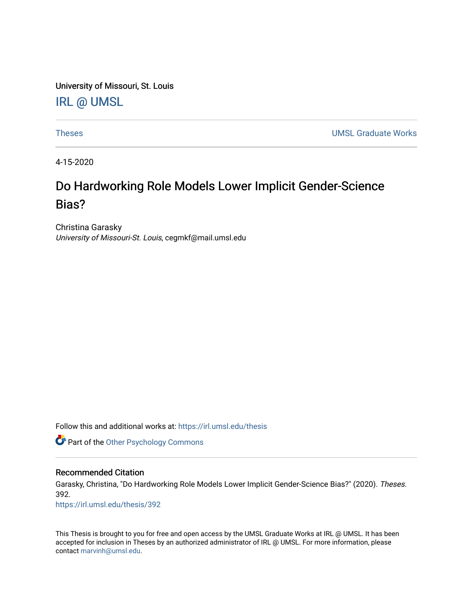University of Missouri, St. Louis [IRL @ UMSL](https://irl.umsl.edu/) 

[Theses](https://irl.umsl.edu/thesis) [UMSL Graduate Works](https://irl.umsl.edu/grad) 

4-15-2020

# Do Hardworking Role Models Lower Implicit Gender-Science Bias?

Christina Garasky University of Missouri-St. Louis, cegmkf@mail.umsl.edu

Follow this and additional works at: [https://irl.umsl.edu/thesis](https://irl.umsl.edu/thesis?utm_source=irl.umsl.edu%2Fthesis%2F392&utm_medium=PDF&utm_campaign=PDFCoverPages) 

**Part of the Other Psychology Commons** 

## Recommended Citation

Garasky, Christina, "Do Hardworking Role Models Lower Implicit Gender-Science Bias?" (2020). Theses. 392.

[https://irl.umsl.edu/thesis/392](https://irl.umsl.edu/thesis/392?utm_source=irl.umsl.edu%2Fthesis%2F392&utm_medium=PDF&utm_campaign=PDFCoverPages) 

This Thesis is brought to you for free and open access by the UMSL Graduate Works at IRL @ UMSL. It has been accepted for inclusion in Theses by an authorized administrator of IRL @ UMSL. For more information, please contact [marvinh@umsl.edu.](mailto:marvinh@umsl.edu)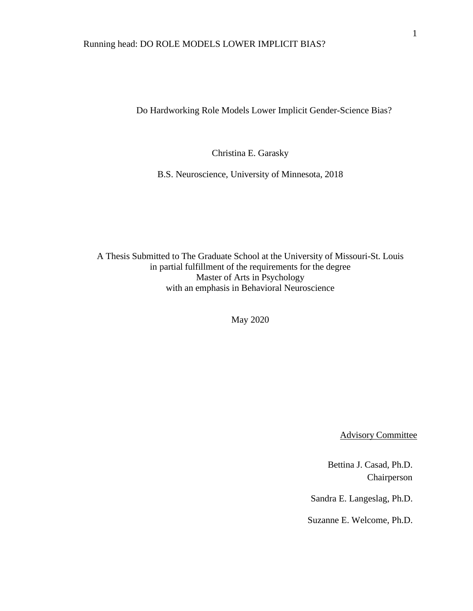Do Hardworking Role Models Lower Implicit Gender-Science Bias?

Christina E. Garasky

B.S. Neuroscience, University of Minnesota, 2018

A Thesis Submitted to The Graduate School at the University of Missouri-St. Louis in partial fulfillment of the requirements for the degree Master of Arts in Psychology with an emphasis in Behavioral Neuroscience

May 2020

Advisory Committee

Bettina J. Casad, Ph.D. Chairperson

Sandra E. Langeslag, Ph.D.

Suzanne E. Welcome, Ph.D.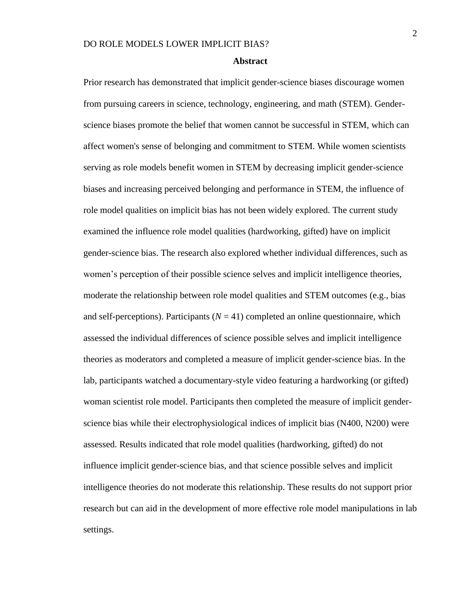#### **Abstract**

Prior research has demonstrated that implicit gender-science biases discourage women from pursuing careers in science, technology, engineering, and math (STEM). Genderscience biases promote the belief that women cannot be successful in STEM, which can affect women's sense of belonging and commitment to STEM. While women scientists serving as role models benefit women in STEM by decreasing implicit gender-science biases and increasing perceived belonging and performance in STEM, the influence of role model qualities on implicit bias has not been widely explored. The current study examined the influence role model qualities (hardworking, gifted) have on implicit gender-science bias. The research also explored whether individual differences, such as women's perception of their possible science selves and implicit intelligence theories, moderate the relationship between role model qualities and STEM outcomes (e.g., bias and self-perceptions). Participants  $(N = 41)$  completed an online questionnaire, which assessed the individual differences of science possible selves and implicit intelligence theories as moderators and completed a measure of implicit gender-science bias. In the lab, participants watched a documentary-style video featuring a hardworking (or gifted) woman scientist role model. Participants then completed the measure of implicit genderscience bias while their electrophysiological indices of implicit bias (N400, N200) were assessed. Results indicated that role model qualities (hardworking, gifted) do not influence implicit gender-science bias, and that science possible selves and implicit intelligence theories do not moderate this relationship. These results do not support prior research but can aid in the development of more effective role model manipulations in lab settings.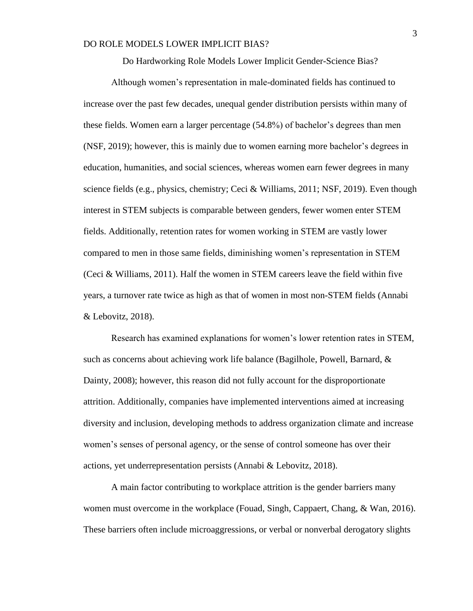Do Hardworking Role Models Lower Implicit Gender-Science Bias?

Although women's representation in male-dominated fields has continued to increase over the past few decades, unequal gender distribution persists within many of these fields. Women earn a larger percentage (54.8%) of bachelor's degrees than men (NSF, 2019); however, this is mainly due to women earning more bachelor's degrees in education, humanities, and social sciences, whereas women earn fewer degrees in many science fields (e.g., physics, chemistry; Ceci & Williams, 2011; NSF, 2019). Even though interest in STEM subjects is comparable between genders, fewer women enter STEM fields. Additionally, retention rates for women working in STEM are vastly lower compared to men in those same fields, diminishing women's representation in STEM (Ceci & Williams, 2011). Half the women in STEM careers leave the field within five years, a turnover rate twice as high as that of women in most non-STEM fields (Annabi & Lebovitz, 2018).

Research has examined explanations for women's lower retention rates in STEM, such as concerns about achieving work life balance (Bagilhole, Powell, Barnard, & Dainty, 2008); however, this reason did not fully account for the disproportionate attrition. Additionally, companies have implemented interventions aimed at increasing diversity and inclusion, developing methods to address organization climate and increase women's senses of personal agency, or the sense of control someone has over their actions, yet underrepresentation persists (Annabi & Lebovitz, 2018).

A main factor contributing to workplace attrition is the gender barriers many women must overcome in the workplace (Fouad, Singh, Cappaert, Chang, & Wan, 2016). These barriers often include microaggressions, or verbal or nonverbal derogatory slights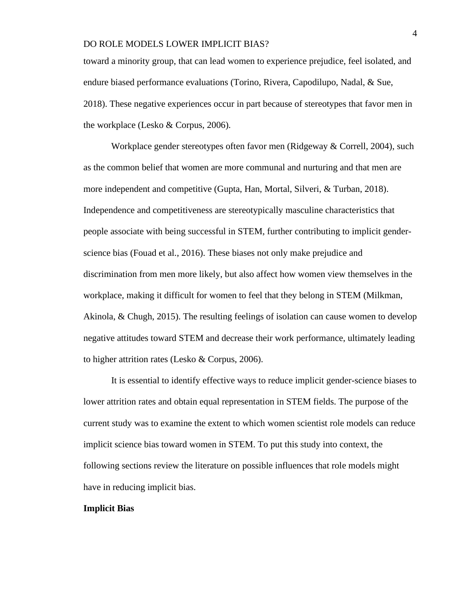toward a minority group, that can lead women to experience prejudice, feel isolated, and endure biased performance evaluations (Torino, Rivera, Capodilupo, Nadal, & Sue, 2018). These negative experiences occur in part because of stereotypes that favor men in the workplace (Lesko & Corpus, 2006).

Workplace gender stereotypes often favor men (Ridgeway & Correll, 2004), such as the common belief that women are more communal and nurturing and that men are more independent and competitive (Gupta, Han, Mortal, Silveri, & Turban, 2018). Independence and competitiveness are stereotypically masculine characteristics that people associate with being successful in STEM, further contributing to implicit genderscience bias (Fouad et al., 2016). These biases not only make prejudice and discrimination from men more likely, but also affect how women view themselves in the workplace, making it difficult for women to feel that they belong in STEM (Milkman, Akinola, & Chugh, 2015). The resulting feelings of isolation can cause women to develop negative attitudes toward STEM and decrease their work performance, ultimately leading to higher attrition rates (Lesko & Corpus, 2006).

It is essential to identify effective ways to reduce implicit gender-science biases to lower attrition rates and obtain equal representation in STEM fields. The purpose of the current study was to examine the extent to which women scientist role models can reduce implicit science bias toward women in STEM. To put this study into context, the following sections review the literature on possible influences that role models might have in reducing implicit bias.

## **Implicit Bias**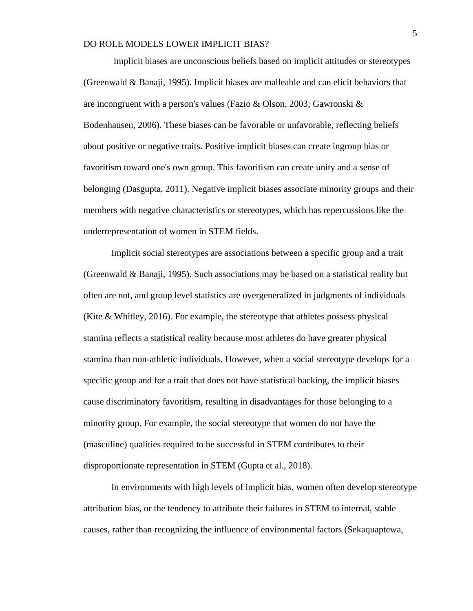Implicit biases are unconscious beliefs based on implicit attitudes or stereotypes (Greenwald & Banaji, 1995). Implicit biases are malleable and can elicit behaviors that are incongruent with a person's values (Fazio & Olson, 2003; Gawronski & Bodenhausen, 2006). These biases can be favorable or unfavorable, reflecting beliefs about positive or negative traits. Positive implicit biases can create ingroup bias or favoritism toward one's own group. This favoritism can create unity and a sense of belonging (Dasgupta, 2011). Negative implicit biases associate minority groups and their members with negative characteristics or stereotypes, which has repercussions like the underrepresentation of women in STEM fields.

Implicit social stereotypes are associations between a specific group and a trait (Greenwald  $\&$  Banaji, 1995). Such associations may be based on a statistical reality but often are not, and group level statistics are overgeneralized in judgments of individuals (Kite & Whitley, 2016). For example, the stereotype that athletes possess physical stamina reflects a statistical reality because most athletes do have greater physical stamina than non-athletic individuals. However, when a social stereotype develops for a specific group and for a trait that does not have statistical backing, the implicit biases cause discriminatory favoritism, resulting in disadvantages for those belonging to a minority group. For example, the social stereotype that women do not have the (masculine) qualities required to be successful in STEM contributes to their disproportionate representation in STEM (Gupta et al., 2018).

In environments with high levels of implicit bias, women often develop stereotype attribution bias, or the tendency to attribute their failures in STEM to internal, stable causes, rather than recognizing the influence of environmental factors (Sekaquaptewa,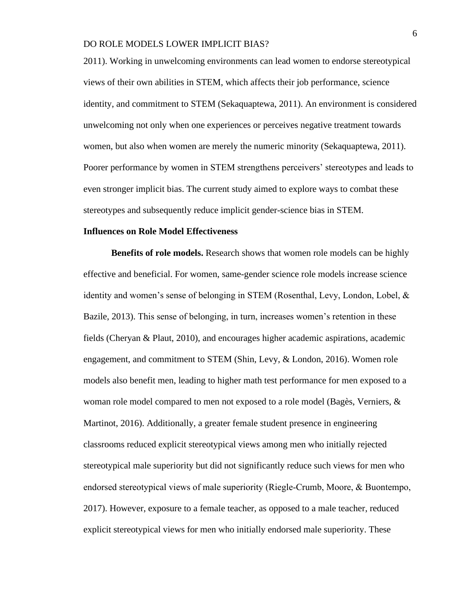2011). Working in unwelcoming environments can lead women to endorse stereotypical views of their own abilities in STEM, which affects their job performance, science identity, and commitment to STEM (Sekaquaptewa, 2011). An environment is considered unwelcoming not only when one experiences or perceives negative treatment towards women, but also when women are merely the numeric minority (Sekaquaptewa, 2011). Poorer performance by women in STEM strengthens perceivers' stereotypes and leads to even stronger implicit bias. The current study aimed to explore ways to combat these stereotypes and subsequently reduce implicit gender-science bias in STEM.

#### **Influences on Role Model Effectiveness**

**Benefits of role models.** Research shows that women role models can be highly effective and beneficial. For women, same-gender science role models increase science identity and women's sense of belonging in STEM (Rosenthal, Levy, London, Lobel, & Bazile, 2013). This sense of belonging, in turn, increases women's retention in these fields (Cheryan & Plaut, 2010), and encourages higher academic aspirations, academic engagement, and commitment to STEM (Shin, Levy, & London, 2016). Women role models also benefit men, leading to higher math test performance for men exposed to a woman role model compared to men not exposed to a role model (Bagès, Verniers, & Martinot, 2016). Additionally, a greater female student presence in engineering classrooms reduced explicit stereotypical views among men who initially rejected stereotypical male superiority but did not significantly reduce such views for men who endorsed stereotypical views of male superiority (Riegle‐Crumb, Moore, & Buontempo, 2017). However, exposure to a female teacher, as opposed to a male teacher, reduced explicit stereotypical views for men who initially endorsed male superiority. These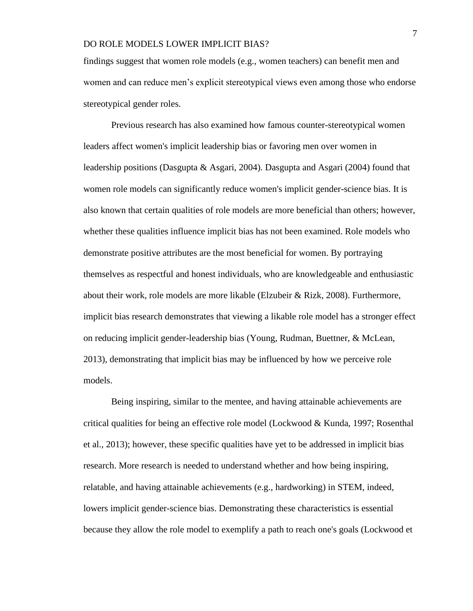findings suggest that women role models (e.g., women teachers) can benefit men and women and can reduce men's explicit stereotypical views even among those who endorse stereotypical gender roles.

Previous research has also examined how famous counter-stereotypical women leaders affect women's implicit leadership bias or favoring men over women in leadership positions (Dasgupta & Asgari, 2004). Dasgupta and Asgari (2004) found that women role models can significantly reduce women's implicit gender-science bias. It is also known that certain qualities of role models are more beneficial than others; however, whether these qualities influence implicit bias has not been examined. Role models who demonstrate positive attributes are the most beneficial for women. By portraying themselves as respectful and honest individuals, who are knowledgeable and enthusiastic about their work, role models are more likable (Elzubeir & Rizk, 2008). Furthermore, implicit bias research demonstrates that viewing a likable role model has a stronger effect on reducing implicit gender-leadership bias (Young, Rudman, Buettner, & McLean, 2013), demonstrating that implicit bias may be influenced by how we perceive role models.

Being inspiring, similar to the mentee, and having attainable achievements are critical qualities for being an effective role model (Lockwood & Kunda, 1997; Rosenthal et al., 2013); however, these specific qualities have yet to be addressed in implicit bias research. More research is needed to understand whether and how being inspiring, relatable, and having attainable achievements (e.g., hardworking) in STEM, indeed, lowers implicit gender-science bias. Demonstrating these characteristics is essential because they allow the role model to exemplify a path to reach one's goals (Lockwood et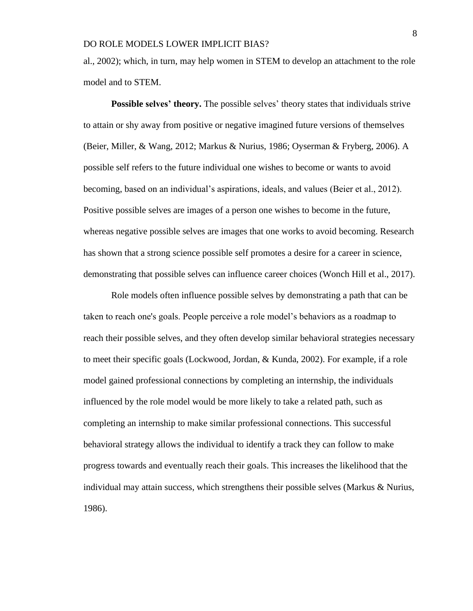al., 2002); which, in turn, may help women in STEM to develop an attachment to the role model and to STEM.

**Possible selves' theory.** The possible selves' theory states that individuals strive to attain or shy away from positive or negative imagined future versions of themselves (Beier, Miller, & Wang, 2012; Markus & Nurius, 1986; Oyserman & Fryberg, 2006). A possible self refers to the future individual one wishes to become or wants to avoid becoming, based on an individual's aspirations, ideals, and values (Beier et al., 2012). Positive possible selves are images of a person one wishes to become in the future, whereas negative possible selves are images that one works to avoid becoming. Research has shown that a strong science possible self promotes a desire for a career in science, demonstrating that possible selves can influence career choices (Wonch Hill et al., 2017).

Role models often influence possible selves by demonstrating a path that can be taken to reach one's goals. People perceive a role model's behaviors as a roadmap to reach their possible selves, and they often develop similar behavioral strategies necessary to meet their specific goals (Lockwood, Jordan, & Kunda, 2002). For example, if a role model gained professional connections by completing an internship, the individuals influenced by the role model would be more likely to take a related path, such as completing an internship to make similar professional connections. This successful behavioral strategy allows the individual to identify a track they can follow to make progress towards and eventually reach their goals. This increases the likelihood that the individual may attain success, which strengthens their possible selves (Markus & Nurius, 1986).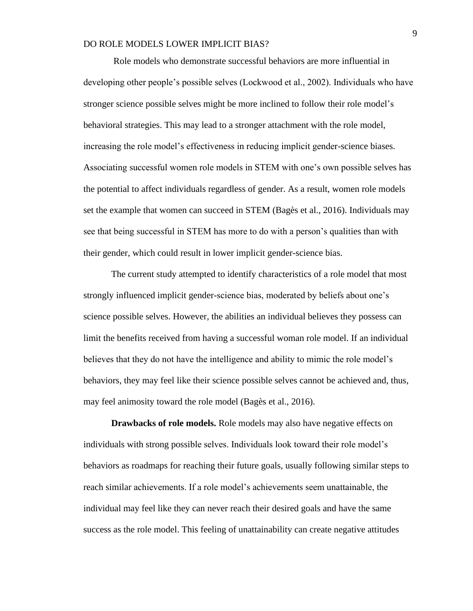Role models who demonstrate successful behaviors are more influential in developing other people's possible selves (Lockwood et al., 2002). Individuals who have stronger science possible selves might be more inclined to follow their role model's behavioral strategies. This may lead to a stronger attachment with the role model, increasing the role model's effectiveness in reducing implicit gender-science biases. Associating successful women role models in STEM with one's own possible selves has the potential to affect individuals regardless of gender. As a result, women role models set the example that women can succeed in STEM (Bagès et al., 2016). Individuals may see that being successful in STEM has more to do with a person's qualities than with their gender, which could result in lower implicit gender-science bias.

The current study attempted to identify characteristics of a role model that most strongly influenced implicit gender-science bias, moderated by beliefs about one's science possible selves. However, the abilities an individual believes they possess can limit the benefits received from having a successful woman role model. If an individual believes that they do not have the intelligence and ability to mimic the role model's behaviors, they may feel like their science possible selves cannot be achieved and, thus, may feel animosity toward the role model (Bagès et al., 2016).

**Drawbacks of role models.** Role models may also have negative effects on individuals with strong possible selves. Individuals look toward their role model's behaviors as roadmaps for reaching their future goals, usually following similar steps to reach similar achievements. If a role model's achievements seem unattainable, the individual may feel like they can never reach their desired goals and have the same success as the role model. This feeling of unattainability can create negative attitudes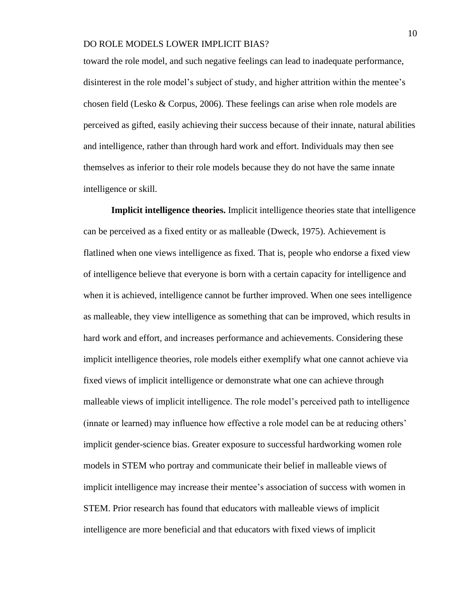toward the role model, and such negative feelings can lead to inadequate performance, disinterest in the role model's subject of study, and higher attrition within the mentee's chosen field (Lesko & Corpus, 2006). These feelings can arise when role models are perceived as gifted, easily achieving their success because of their innate, natural abilities and intelligence, rather than through hard work and effort. Individuals may then see themselves as inferior to their role models because they do not have the same innate intelligence or skill.

**Implicit intelligence theories.** Implicit intelligence theories state that intelligence can be perceived as a fixed entity or as malleable (Dweck, 1975). Achievement is flatlined when one views intelligence as fixed. That is, people who endorse a fixed view of intelligence believe that everyone is born with a certain capacity for intelligence and when it is achieved, intelligence cannot be further improved. When one sees intelligence as malleable, they view intelligence as something that can be improved, which results in hard work and effort, and increases performance and achievements. Considering these implicit intelligence theories, role models either exemplify what one cannot achieve via fixed views of implicit intelligence or demonstrate what one can achieve through malleable views of implicit intelligence. The role model's perceived path to intelligence (innate or learned) may influence how effective a role model can be at reducing others' implicit gender-science bias. Greater exposure to successful hardworking women role models in STEM who portray and communicate their belief in malleable views of implicit intelligence may increase their mentee's association of success with women in STEM. Prior research has found that educators with malleable views of implicit intelligence are more beneficial and that educators with fixed views of implicit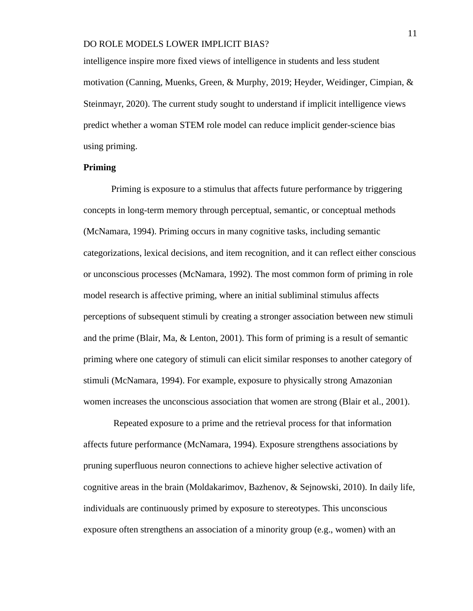intelligence inspire more fixed views of intelligence in students and less student motivation (Canning, Muenks, Green, & Murphy, 2019; Heyder, Weidinger, Cimpian, & Steinmayr, 2020). The current study sought to understand if implicit intelligence views predict whether a woman STEM role model can reduce implicit gender-science bias using priming.

## **Priming**

Priming is exposure to a stimulus that affects future performance by triggering concepts in long-term memory through perceptual, semantic, or conceptual methods (McNamara, 1994). Priming occurs in many cognitive tasks, including semantic categorizations, lexical decisions, and item recognition, and it can reflect either conscious or unconscious processes (McNamara, 1992). The most common form of priming in role model research is affective priming, where an initial subliminal stimulus affects perceptions of subsequent stimuli by creating a stronger association between new stimuli and the prime (Blair, Ma, & Lenton, 2001). This form of priming is a result of semantic priming where one category of stimuli can elicit similar responses to another category of stimuli (McNamara, 1994). For example, exposure to physically strong Amazonian women increases the unconscious association that women are strong (Blair et al., 2001).

Repeated exposure to a prime and the retrieval process for that information affects future performance (McNamara, 1994). Exposure strengthens associations by pruning superfluous neuron connections to achieve higher selective activation of cognitive areas in the brain (Moldakarimov, Bazhenov,  $\&$  Sejnowski, 2010). In daily life, individuals are continuously primed by exposure to stereotypes. This unconscious exposure often strengthens an association of a minority group (e.g., women) with an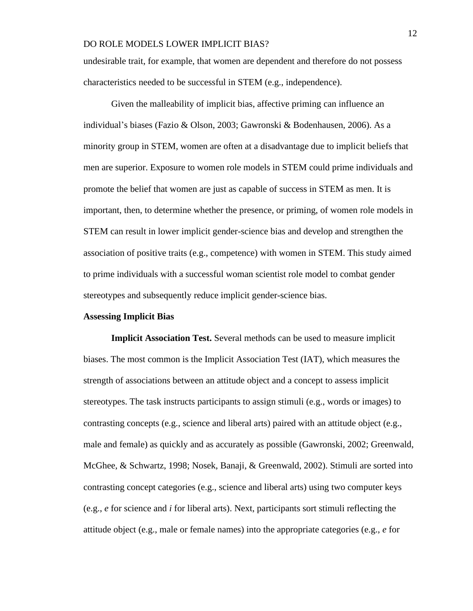undesirable trait, for example, that women are dependent and therefore do not possess characteristics needed to be successful in STEM (e.g., independence).

Given the malleability of implicit bias, affective priming can influence an individual's biases (Fazio & Olson, 2003; Gawronski & Bodenhausen, 2006). As a minority group in STEM, women are often at a disadvantage due to implicit beliefs that men are superior. Exposure to women role models in STEM could prime individuals and promote the belief that women are just as capable of success in STEM as men. It is important, then, to determine whether the presence, or priming, of women role models in STEM can result in lower implicit gender-science bias and develop and strengthen the association of positive traits (e.g., competence) with women in STEM. This study aimed to prime individuals with a successful woman scientist role model to combat gender stereotypes and subsequently reduce implicit gender-science bias.

#### **Assessing Implicit Bias**

**Implicit Association Test.** Several methods can be used to measure implicit biases. The most common is the Implicit Association Test (IAT), which measures the strength of associations between an attitude object and a concept to assess implicit stereotypes. The task instructs participants to assign stimuli (e.g., words or images) to contrasting concepts (e.g., science and liberal arts) paired with an attitude object (e.g., male and female) as quickly and as accurately as possible (Gawronski, 2002; Greenwald, McGhee, & Schwartz, 1998; Nosek, Banaji, & Greenwald, 2002). Stimuli are sorted into contrasting concept categories (e.g., science and liberal arts) using two computer keys (e.g., *e* for science and *i* for liberal arts). Next, participants sort stimuli reflecting the attitude object (e.g., male or female names) into the appropriate categories (e.g., *e* for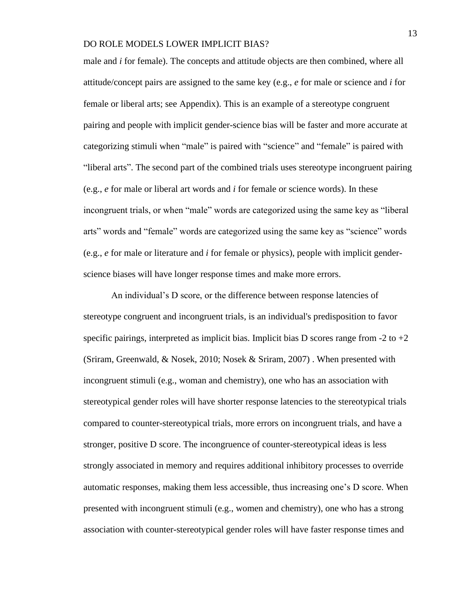male and *i* for female). The concepts and attitude objects are then combined, where all attitude/concept pairs are assigned to the same key (e.g., *e* for male or science and *i* for female or liberal arts; see Appendix). This is an example of a stereotype congruent pairing and people with implicit gender-science bias will be faster and more accurate at categorizing stimuli when "male" is paired with "science" and "female" is paired with "liberal arts". The second part of the combined trials uses stereotype incongruent pairing (e.g., *e* for male or liberal art words and *i* for female or science words). In these incongruent trials, or when "male" words are categorized using the same key as "liberal arts" words and "female" words are categorized using the same key as "science" words (e.g., *e* for male or literature and *i* for female or physics), people with implicit genderscience biases will have longer response times and make more errors.

An individual's D score, or the difference between response latencies of stereotype congruent and incongruent trials, is an individual's predisposition to favor specific pairings, interpreted as implicit bias. Implicit bias D scores range from  $-2$  to  $+2$ (Sriram, Greenwald, & Nosek, 2010; Nosek & Sriram, 2007) . When presented with incongruent stimuli (e.g., woman and chemistry), one who has an association with stereotypical gender roles will have shorter response latencies to the stereotypical trials compared to counter-stereotypical trials, more errors on incongruent trials, and have a stronger, positive D score. The incongruence of counter-stereotypical ideas is less strongly associated in memory and requires additional inhibitory processes to override automatic responses, making them less accessible, thus increasing one's D score. When presented with incongruent stimuli (e.g., women and chemistry), one who has a strong association with counter-stereotypical gender roles will have faster response times and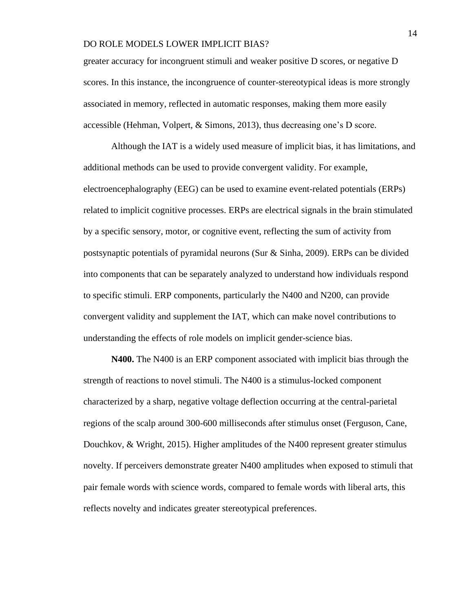greater accuracy for incongruent stimuli and weaker positive D scores, or negative D scores. In this instance, the incongruence of counter-stereotypical ideas is more strongly associated in memory, reflected in automatic responses, making them more easily accessible (Hehman, Volpert, & Simons, 2013), thus decreasing one's D score.

Although the IAT is a widely used measure of implicit bias, it has limitations, and additional methods can be used to provide convergent validity. For example, electroencephalography (EEG) can be used to examine event-related potentials (ERPs) related to implicit cognitive processes. ERPs are electrical signals in the brain stimulated by a specific sensory, motor, or cognitive event, reflecting the sum of activity from postsynaptic potentials of pyramidal neurons (Sur & Sinha, 2009). ERPs can be divided into components that can be separately analyzed to understand how individuals respond to specific stimuli. ERP components, particularly the N400 and N200, can provide convergent validity and supplement the IAT, which can make novel contributions to understanding the effects of role models on implicit gender-science bias.

**N400.** The N400 is an ERP component associated with implicit bias through the strength of reactions to novel stimuli. The N400 is a stimulus-locked component characterized by a sharp, negative voltage deflection occurring at the central-parietal regions of the scalp around 300-600 milliseconds after stimulus onset (Ferguson, Cane, Douchkov, & Wright, 2015). Higher amplitudes of the N400 represent greater stimulus novelty. If perceivers demonstrate greater N400 amplitudes when exposed to stimuli that pair female words with science words, compared to female words with liberal arts, this reflects novelty and indicates greater stereotypical preferences.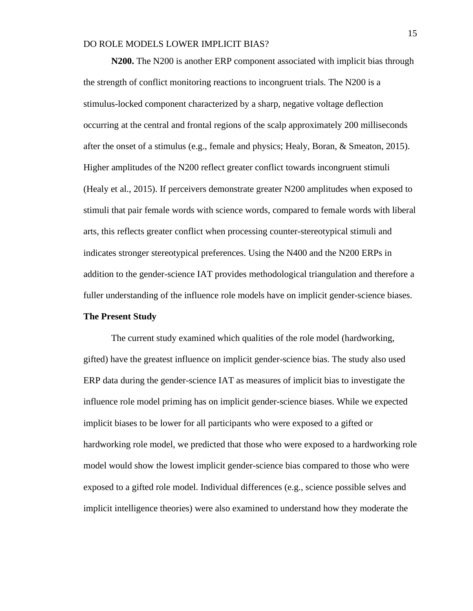**N200.** The N200 is another ERP component associated with implicit bias through the strength of conflict monitoring reactions to incongruent trials. The N200 is a stimulus-locked component characterized by a sharp, negative voltage deflection occurring at the central and frontal regions of the scalp approximately 200 milliseconds after the onset of a stimulus (e.g., female and physics; Healy, Boran, & Smeaton, 2015). Higher amplitudes of the N200 reflect greater conflict towards incongruent stimuli (Healy et al., 2015). If perceivers demonstrate greater N200 amplitudes when exposed to stimuli that pair female words with science words, compared to female words with liberal arts, this reflects greater conflict when processing counter-stereotypical stimuli and indicates stronger stereotypical preferences. Using the N400 and the N200 ERPs in addition to the gender-science IAT provides methodological triangulation and therefore a fuller understanding of the influence role models have on implicit gender-science biases.

#### **The Present Study**

The current study examined which qualities of the role model (hardworking, gifted) have the greatest influence on implicit gender-science bias. The study also used ERP data during the gender-science IAT as measures of implicit bias to investigate the influence role model priming has on implicit gender-science biases. While we expected implicit biases to be lower for all participants who were exposed to a gifted or hardworking role model, we predicted that those who were exposed to a hardworking role model would show the lowest implicit gender-science bias compared to those who were exposed to a gifted role model. Individual differences (e.g., science possible selves and implicit intelligence theories) were also examined to understand how they moderate the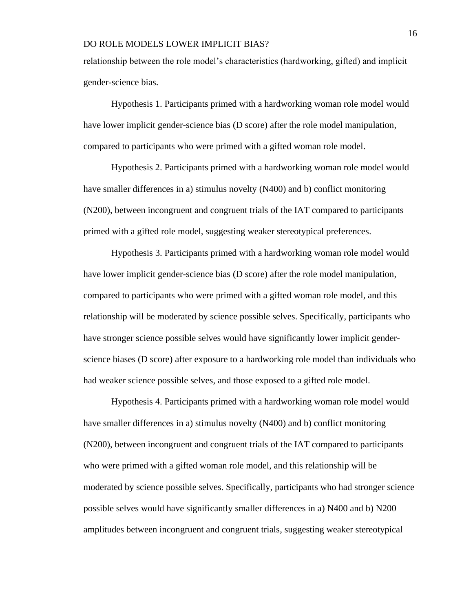relationship between the role model's characteristics (hardworking, gifted) and implicit gender-science bias.

Hypothesis 1. Participants primed with a hardworking woman role model would have lower implicit gender-science bias (D score) after the role model manipulation, compared to participants who were primed with a gifted woman role model.

Hypothesis 2. Participants primed with a hardworking woman role model would have smaller differences in a) stimulus novelty (N400) and b) conflict monitoring (N200), between incongruent and congruent trials of the IAT compared to participants primed with a gifted role model, suggesting weaker stereotypical preferences.

Hypothesis 3. Participants primed with a hardworking woman role model would have lower implicit gender-science bias (D score) after the role model manipulation, compared to participants who were primed with a gifted woman role model, and this relationship will be moderated by science possible selves. Specifically, participants who have stronger science possible selves would have significantly lower implicit genderscience biases (D score) after exposure to a hardworking role model than individuals who had weaker science possible selves, and those exposed to a gifted role model.

Hypothesis 4. Participants primed with a hardworking woman role model would have smaller differences in a) stimulus novelty (N400) and b) conflict monitoring (N200), between incongruent and congruent trials of the IAT compared to participants who were primed with a gifted woman role model, and this relationship will be moderated by science possible selves. Specifically, participants who had stronger science possible selves would have significantly smaller differences in a) N400 and b) N200 amplitudes between incongruent and congruent trials, suggesting weaker stereotypical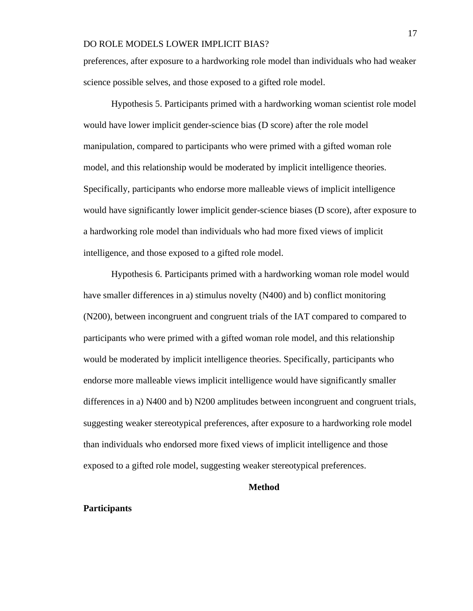preferences, after exposure to a hardworking role model than individuals who had weaker science possible selves, and those exposed to a gifted role model.

Hypothesis 5. Participants primed with a hardworking woman scientist role model would have lower implicit gender-science bias (D score) after the role model manipulation, compared to participants who were primed with a gifted woman role model, and this relationship would be moderated by implicit intelligence theories. Specifically, participants who endorse more malleable views of implicit intelligence would have significantly lower implicit gender-science biases (D score), after exposure to a hardworking role model than individuals who had more fixed views of implicit intelligence, and those exposed to a gifted role model.

Hypothesis 6. Participants primed with a hardworking woman role model would have smaller differences in a) stimulus novelty (N400) and b) conflict monitoring (N200), between incongruent and congruent trials of the IAT compared to compared to participants who were primed with a gifted woman role model, and this relationship would be moderated by implicit intelligence theories. Specifically, participants who endorse more malleable views implicit intelligence would have significantly smaller differences in a) N400 and b) N200 amplitudes between incongruent and congruent trials, suggesting weaker stereotypical preferences, after exposure to a hardworking role model than individuals who endorsed more fixed views of implicit intelligence and those exposed to a gifted role model, suggesting weaker stereotypical preferences.

#### **Method**

## **Participants**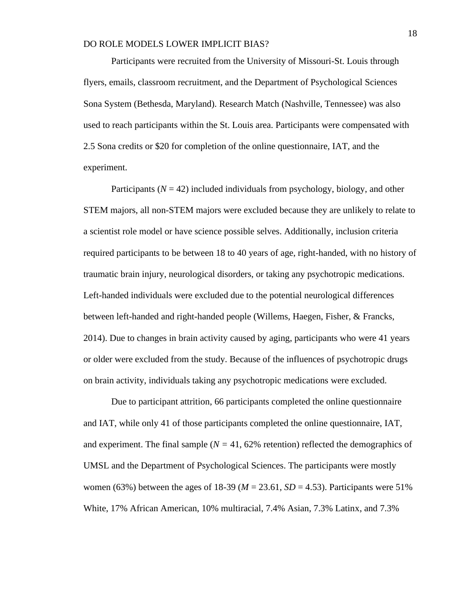Participants were recruited from the University of Missouri-St. Louis through flyers, emails, classroom recruitment, and the Department of Psychological Sciences Sona System (Bethesda, Maryland). Research Match (Nashville, Tennessee) was also used to reach participants within the St. Louis area. Participants were compensated with 2.5 Sona credits or \$20 for completion of the online questionnaire, IAT, and the experiment.

Participants  $(N = 42)$  included individuals from psychology, biology, and other STEM majors, all non-STEM majors were excluded because they are unlikely to relate to a scientist role model or have science possible selves. Additionally, inclusion criteria required participants to be between 18 to 40 years of age, right-handed, with no history of traumatic brain injury, neurological disorders, or taking any psychotropic medications. Left-handed individuals were excluded due to the potential neurological differences between left-handed and right-handed people (Willems, Haegen, Fisher, & Francks, 2014). Due to changes in brain activity caused by aging, participants who were 41 years or older were excluded from the study. Because of the influences of psychotropic drugs on brain activity, individuals taking any psychotropic medications were excluded.

Due to participant attrition, 66 participants completed the online questionnaire and IAT, while only 41 of those participants completed the online questionnaire, IAT, and experiment. The final sample  $(N = 41, 62\%$  retention) reflected the demographics of UMSL and the Department of Psychological Sciences. The participants were mostly women (63%) between the ages of 18-39 ( $M = 23.61$ ,  $SD = 4.53$ ). Participants were 51% White, 17% African American, 10% multiracial, 7.4% Asian, 7.3% Latinx, and 7.3%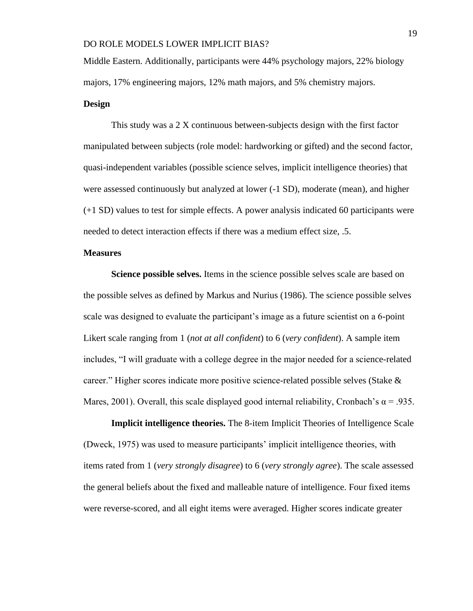Middle Eastern. Additionally, participants were 44% psychology majors, 22% biology majors, 17% engineering majors, 12% math majors, and 5% chemistry majors.

# **Design**

This study was a 2 X continuous between-subjects design with the first factor manipulated between subjects (role model: hardworking or gifted) and the second factor, quasi-independent variables (possible science selves, implicit intelligence theories) that were assessed continuously but analyzed at lower (-1 SD), moderate (mean), and higher (+1 SD) values to test for simple effects. A power analysis indicated 60 participants were needed to detect interaction effects if there was a medium effect size, .5.

## **Measures**

**Science possible selves.** Items in the science possible selves scale are based on the possible selves as defined by Markus and Nurius (1986). The science possible selves scale was designed to evaluate the participant's image as a future scientist on a 6-point Likert scale ranging from 1 (*not at all confident*) to 6 (*very confident*). A sample item includes, "I will graduate with a college degree in the major needed for a science-related career." Higher scores indicate more positive science-related possible selves (Stake & Mares, 2001). Overall, this scale displayed good internal reliability, Cronbach's  $\alpha = .935$ .

**Implicit intelligence theories.** The 8-item Implicit Theories of Intelligence Scale (Dweck, 1975) was used to measure participants' implicit intelligence theories, with items rated from 1 (*very strongly disagree*) to 6 (*very strongly agree*). The scale assessed the general beliefs about the fixed and malleable nature of intelligence. Four fixed items were reverse-scored, and all eight items were averaged. Higher scores indicate greater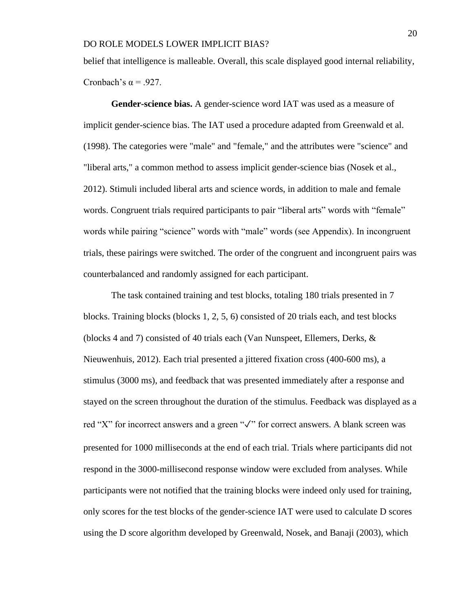belief that intelligence is malleable. Overall, this scale displayed good internal reliability, Cronbach's  $\alpha$  = .927.

**Gender-science bias.** A gender-science word IAT was used as a measure of implicit gender-science bias. The IAT used a procedure adapted from Greenwald et al. (1998). The categories were "male" and "female," and the attributes were "science" and "liberal arts," a common method to assess implicit gender-science bias (Nosek et al., 2012). Stimuli included liberal arts and science words, in addition to male and female words. Congruent trials required participants to pair "liberal arts" words with "female" words while pairing "science" words with "male" words (see Appendix). In incongruent trials, these pairings were switched. The order of the congruent and incongruent pairs was counterbalanced and randomly assigned for each participant.

The task contained training and test blocks, totaling 180 trials presented in 7 blocks. Training blocks (blocks 1, 2, 5, 6) consisted of 20 trials each, and test blocks (blocks 4 and 7) consisted of 40 trials each (Van Nunspeet, Ellemers, Derks, & Nieuwenhuis, 2012). Each trial presented a jittered fixation cross (400-600 ms), a stimulus (3000 ms), and feedback that was presented immediately after a response and stayed on the screen throughout the duration of the stimulus. Feedback was displayed as a red "X" for incorrect answers and a green "✓" for correct answers. A blank screen was presented for 1000 milliseconds at the end of each trial. Trials where participants did not respond in the 3000-millisecond response window were excluded from analyses. While participants were not notified that the training blocks were indeed only used for training, only scores for the test blocks of the gender-science IAT were used to calculate D scores using the D score algorithm developed by Greenwald, Nosek, and Banaji (2003), which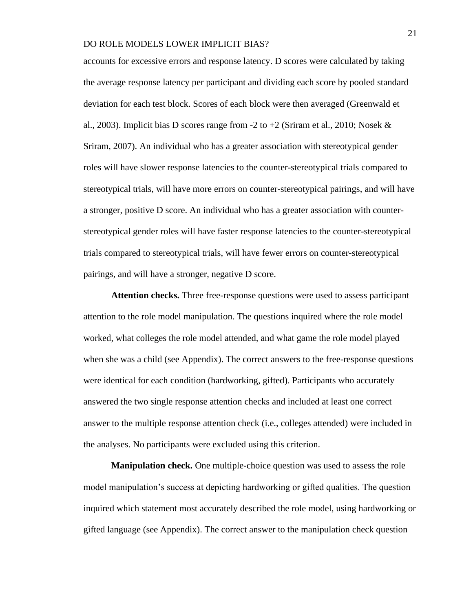accounts for excessive errors and response latency. D scores were calculated by taking the average response latency per participant and dividing each score by pooled standard deviation for each test block. Scores of each block were then averaged (Greenwald et al., 2003). Implicit bias D scores range from  $-2$  to  $+2$  (Sriram et al., 2010; Nosek & Sriram, 2007). An individual who has a greater association with stereotypical gender roles will have slower response latencies to the counter-stereotypical trials compared to stereotypical trials, will have more errors on counter-stereotypical pairings, and will have a stronger, positive D score. An individual who has a greater association with counterstereotypical gender roles will have faster response latencies to the counter-stereotypical trials compared to stereotypical trials, will have fewer errors on counter-stereotypical pairings, and will have a stronger, negative D score.

**Attention checks.** Three free-response questions were used to assess participant attention to the role model manipulation. The questions inquired where the role model worked, what colleges the role model attended, and what game the role model played when she was a child (see Appendix). The correct answers to the free-response questions were identical for each condition (hardworking, gifted). Participants who accurately answered the two single response attention checks and included at least one correct answer to the multiple response attention check (i.e., colleges attended) were included in the analyses. No participants were excluded using this criterion.

**Manipulation check.** One multiple-choice question was used to assess the role model manipulation's success at depicting hardworking or gifted qualities. The question inquired which statement most accurately described the role model, using hardworking or gifted language (see Appendix). The correct answer to the manipulation check question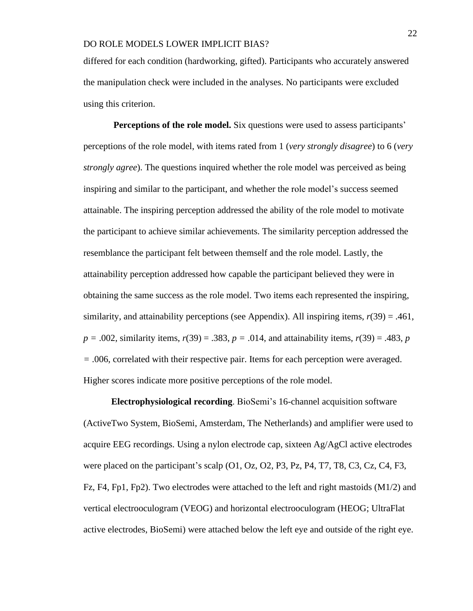differed for each condition (hardworking, gifted). Participants who accurately answered the manipulation check were included in the analyses. No participants were excluded using this criterion.

**Perceptions of the role model.** Six questions were used to assess participants' perceptions of the role model, with items rated from 1 (*very strongly disagree*) to 6 (*very strongly agree*). The questions inquired whether the role model was perceived as being inspiring and similar to the participant, and whether the role model's success seemed attainable. The inspiring perception addressed the ability of the role model to motivate the participant to achieve similar achievements. The similarity perception addressed the resemblance the participant felt between themself and the role model. Lastly, the attainability perception addressed how capable the participant believed they were in obtaining the same success as the role model. Two items each represented the inspiring, similarity, and attainability perceptions (see Appendix). All inspiring items,  $r(39) = .461$ ,  $p = .002$ , similarity items,  $r(39) = .383$ ,  $p = .014$ , and attainability items,  $r(39) = .483$ ,  $p = .014$ *=* .006, correlated with their respective pair. Items for each perception were averaged. Higher scores indicate more positive perceptions of the role model.

**Electrophysiological recording**. BioSemi's 16-channel acquisition software (ActiveTwo System, BioSemi, Amsterdam, The Netherlands) and amplifier were used to acquire EEG recordings. Using a nylon electrode cap, sixteen Ag/AgCl active electrodes were placed on the participant's scalp (O1, Oz, O2, P3, Pz, P4, T7, T8, C3, Cz, C4, F3, Fz, F4, Fp1, Fp2). Two electrodes were attached to the left and right mastoids (M1/2) and vertical electrooculogram (VEOG) and horizontal electrooculogram (HEOG; UltraFlat active electrodes, BioSemi) were attached below the left eye and outside of the right eye.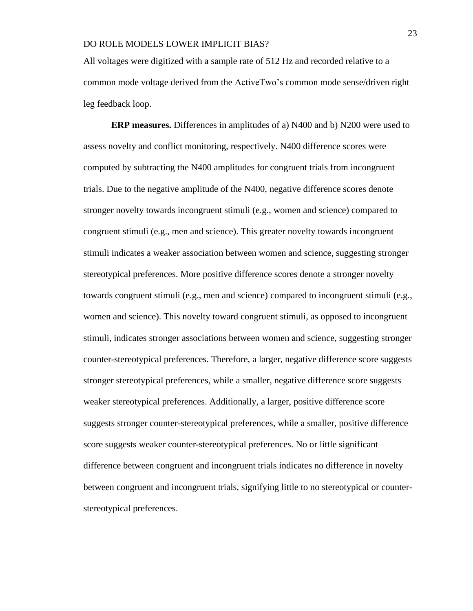All voltages were digitized with a sample rate of 512 Hz and recorded relative to a common mode voltage derived from the ActiveTwo's common mode sense/driven right leg feedback loop.

**ERP measures.** Differences in amplitudes of a) N400 and b) N200 were used to assess novelty and conflict monitoring, respectively. N400 difference scores were computed by subtracting the N400 amplitudes for congruent trials from incongruent trials. Due to the negative amplitude of the N400, negative difference scores denote stronger novelty towards incongruent stimuli (e.g., women and science) compared to congruent stimuli (e.g., men and science). This greater novelty towards incongruent stimuli indicates a weaker association between women and science, suggesting stronger stereotypical preferences. More positive difference scores denote a stronger novelty towards congruent stimuli (e.g., men and science) compared to incongruent stimuli (e.g., women and science). This novelty toward congruent stimuli, as opposed to incongruent stimuli, indicates stronger associations between women and science, suggesting stronger counter-stereotypical preferences. Therefore, a larger, negative difference score suggests stronger stereotypical preferences, while a smaller, negative difference score suggests weaker stereotypical preferences. Additionally, a larger, positive difference score suggests stronger counter-stereotypical preferences, while a smaller, positive difference score suggests weaker counter-stereotypical preferences. No or little significant difference between congruent and incongruent trials indicates no difference in novelty between congruent and incongruent trials, signifying little to no stereotypical or counterstereotypical preferences.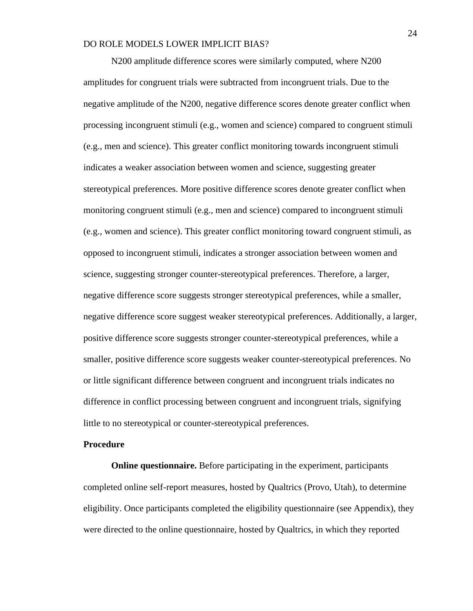N200 amplitude difference scores were similarly computed, where N200 amplitudes for congruent trials were subtracted from incongruent trials. Due to the negative amplitude of the N200, negative difference scores denote greater conflict when processing incongruent stimuli (e.g., women and science) compared to congruent stimuli (e.g., men and science). This greater conflict monitoring towards incongruent stimuli indicates a weaker association between women and science, suggesting greater stereotypical preferences. More positive difference scores denote greater conflict when monitoring congruent stimuli (e.g., men and science) compared to incongruent stimuli (e.g., women and science). This greater conflict monitoring toward congruent stimuli, as opposed to incongruent stimuli, indicates a stronger association between women and science, suggesting stronger counter-stereotypical preferences. Therefore, a larger, negative difference score suggests stronger stereotypical preferences, while a smaller, negative difference score suggest weaker stereotypical preferences. Additionally, a larger, positive difference score suggests stronger counter-stereotypical preferences, while a smaller, positive difference score suggests weaker counter-stereotypical preferences. No or little significant difference between congruent and incongruent trials indicates no difference in conflict processing between congruent and incongruent trials, signifying little to no stereotypical or counter-stereotypical preferences.

#### **Procedure**

**Online questionnaire.** Before participating in the experiment, participants completed online self-report measures, hosted by Qualtrics (Provo, Utah), to determine eligibility. Once participants completed the eligibility questionnaire (see Appendix), they were directed to the online questionnaire, hosted by Qualtrics, in which they reported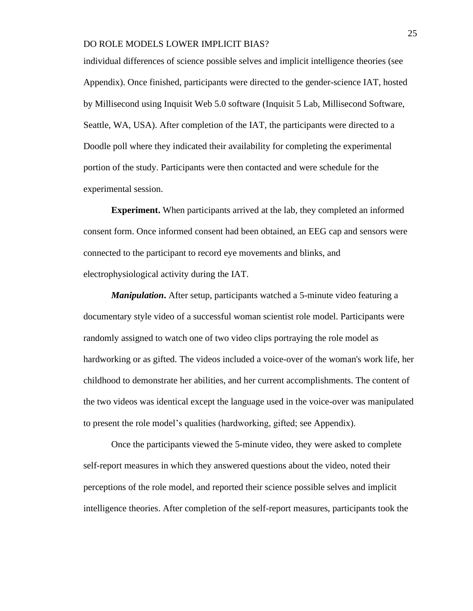individual differences of science possible selves and implicit intelligence theories (see Appendix). Once finished, participants were directed to the gender-science IAT, hosted by Millisecond using Inquisit Web 5.0 software (Inquisit 5 Lab, Millisecond Software, Seattle, WA, USA). After completion of the IAT, the participants were directed to a Doodle poll where they indicated their availability for completing the experimental portion of the study. Participants were then contacted and were schedule for the experimental session.

**Experiment.** When participants arrived at the lab, they completed an informed consent form. Once informed consent had been obtained, an EEG cap and sensors were connected to the participant to record eye movements and blinks, and electrophysiological activity during the IAT.

*Manipulation***.** After setup, participants watched a 5-minute video featuring a documentary style video of a successful woman scientist role model. Participants were randomly assigned to watch one of two video clips portraying the role model as hardworking or as gifted. The videos included a voice-over of the woman's work life, her childhood to demonstrate her abilities, and her current accomplishments. The content of the two videos was identical except the language used in the voice-over was manipulated to present the role model's qualities (hardworking, gifted; see Appendix).

Once the participants viewed the 5-minute video, they were asked to complete self-report measures in which they answered questions about the video, noted their perceptions of the role model, and reported their science possible selves and implicit intelligence theories. After completion of the self-report measures, participants took the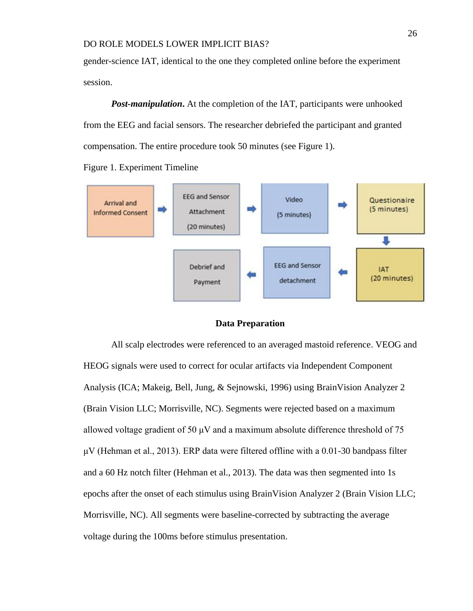gender-science IAT, identical to the one they completed online before the experiment session.

*Post-manipulation*. At the completion of the IAT, participants were unhooked from the EEG and facial sensors. The researcher debriefed the participant and granted compensation. The entire procedure took 50 minutes (see Figure 1).

Figure 1. Experiment Timeline



#### **Data Preparation**

All scalp electrodes were referenced to an averaged mastoid reference. VEOG and HEOG signals were used to correct for ocular artifacts via Independent Component Analysis (ICA; Makeig, Bell, Jung, & Sejnowski, 1996) using BrainVision Analyzer 2 (Brain Vision LLC; Morrisville, NC). Segments were rejected based on a maximum allowed voltage gradient of 50  $\mu$ V and a maximum absolute difference threshold of 75  $\mu$ V (Hehman et al., 2013). ERP data were filtered offline with a 0.01-30 bandpass filter and a 60 Hz notch filter (Hehman et al., 2013). The data was then segmented into 1s epochs after the onset of each stimulus using BrainVision Analyzer 2 (Brain Vision LLC; Morrisville, NC). All segments were baseline-corrected by subtracting the average voltage during the 100ms before stimulus presentation.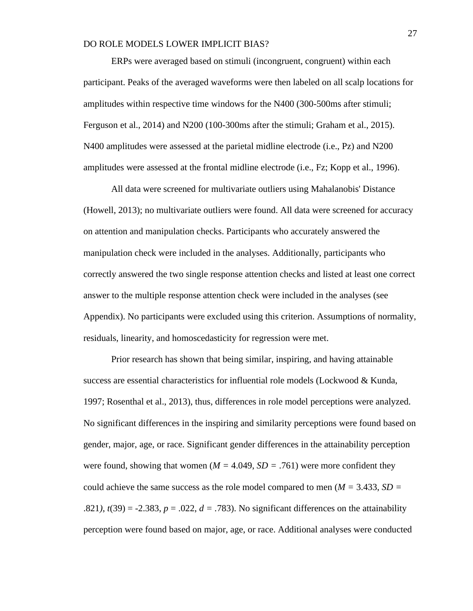ERPs were averaged based on stimuli (incongruent, congruent) within each participant. Peaks of the averaged waveforms were then labeled on all scalp locations for amplitudes within respective time windows for the N400 (300-500ms after stimuli; Ferguson et al., 2014) and N200 (100-300ms after the stimuli; Graham et al., 2015). N400 amplitudes were assessed at the parietal midline electrode (i.e., Pz) and N200 amplitudes were assessed at the frontal midline electrode (i.e., Fz; Kopp et al., 1996).

All data were screened for multivariate outliers using Mahalanobis' Distance (Howell, 2013); no multivariate outliers were found. All data were screened for accuracy on attention and manipulation checks. Participants who accurately answered the manipulation check were included in the analyses. Additionally, participants who correctly answered the two single response attention checks and listed at least one correct answer to the multiple response attention check were included in the analyses (see Appendix). No participants were excluded using this criterion. Assumptions of normality, residuals, linearity, and homoscedasticity for regression were met.

Prior research has shown that being similar, inspiring, and having attainable success are essential characteristics for influential role models (Lockwood & Kunda, 1997; Rosenthal et al., 2013), thus, differences in role model perceptions were analyzed. No significant differences in the inspiring and similarity perceptions were found based on gender, major, age, or race. Significant gender differences in the attainability perception were found, showing that women ( $M = 4.049$ ,  $SD = .761$ ) were more confident they could achieve the same success as the role model compared to men (*M =* 3.433, *SD =*  .821),  $t(39) = -2.383$ ,  $p = .022$ ,  $d = .783$ ). No significant differences on the attainability perception were found based on major, age, or race. Additional analyses were conducted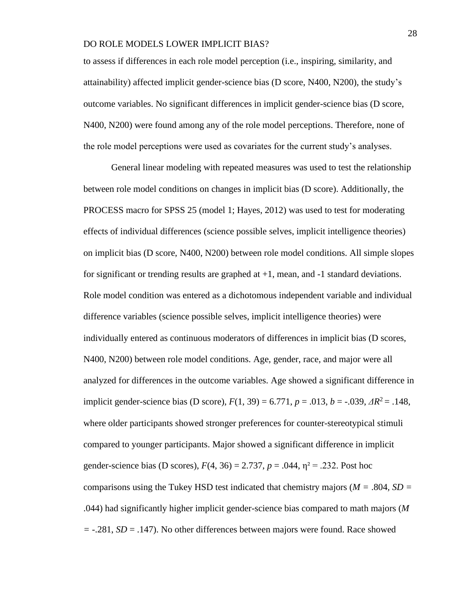to assess if differences in each role model perception (i.e., inspiring, similarity, and attainability) affected implicit gender-science bias (D score, N400, N200), the study's outcome variables. No significant differences in implicit gender-science bias (D score, N400, N200) were found among any of the role model perceptions. Therefore, none of the role model perceptions were used as covariates for the current study's analyses.

General linear modeling with repeated measures was used to test the relationship between role model conditions on changes in implicit bias (D score). Additionally, the PROCESS macro for SPSS 25 (model 1; Hayes, 2012) was used to test for moderating effects of individual differences (science possible selves, implicit intelligence theories) on implicit bias (D score, N400, N200) between role model conditions. All simple slopes for significant or trending results are graphed at  $+1$ , mean, and  $-1$  standard deviations. Role model condition was entered as a dichotomous independent variable and individual difference variables (science possible selves, implicit intelligence theories) were individually entered as continuous moderators of differences in implicit bias (D scores, N400, N200) between role model conditions. Age, gender, race, and major were all analyzed for differences in the outcome variables. Age showed a significant difference in implicit gender-science bias (D score),  $F(1, 39) = 6.771$ ,  $p = .013$ ,  $b = -.039$ ,  $\Delta R^2 = .148$ , where older participants showed stronger preferences for counter-stereotypical stimuli compared to younger participants. Major showed a significant difference in implicit gender-science bias (D scores),  $F(4, 36) = 2.737$ ,  $p = .044$ ,  $\eta^2 = .232$ . Post hoc comparisons using the Tukey HSD test indicated that chemistry majors (*M =* .804*, SD =*  .044) had significantly higher implicit gender-science bias compared to math majors (*M =* -.281, *SD* = .147). No other differences between majors were found. Race showed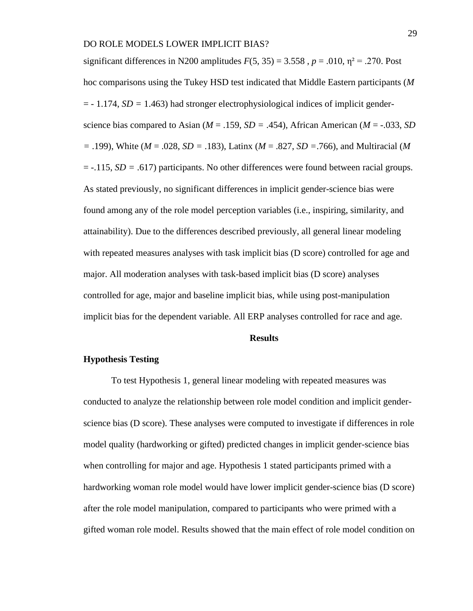significant differences in N200 amplitudes  $F(5, 35) = 3.558$ ,  $p = .010$ ,  $\eta^2 = .270$ . Post hoc comparisons using the Tukey HSD test indicated that Middle Eastern participants (*M*  = *-* 1.174, *SD =* 1.463) had stronger electrophysiological indices of implicit genderscience bias compared to Asian ( $M = .159$ ,  $SD = .454$ ), African American ( $M = .033$ , *SD =* .199), White (*M* = .028, *SD =* .183), Latinx (*M* = .827, *SD =*.766), and Multiracial (*M*  = -.115, *SD =* .617) participants. No other differences were found between racial groups. As stated previously, no significant differences in implicit gender-science bias were found among any of the role model perception variables (i.e., inspiring, similarity, and attainability). Due to the differences described previously, all general linear modeling with repeated measures analyses with task implicit bias (D score) controlled for age and major. All moderation analyses with task-based implicit bias (D score) analyses controlled for age, major and baseline implicit bias, while using post-manipulation implicit bias for the dependent variable. All ERP analyses controlled for race and age.

#### **Results**

#### **Hypothesis Testing**

To test Hypothesis 1, general linear modeling with repeated measures was conducted to analyze the relationship between role model condition and implicit genderscience bias (D score). These analyses were computed to investigate if differences in role model quality (hardworking or gifted) predicted changes in implicit gender-science bias when controlling for major and age. Hypothesis 1 stated participants primed with a hardworking woman role model would have lower implicit gender-science bias (D score) after the role model manipulation, compared to participants who were primed with a gifted woman role model. Results showed that the main effect of role model condition on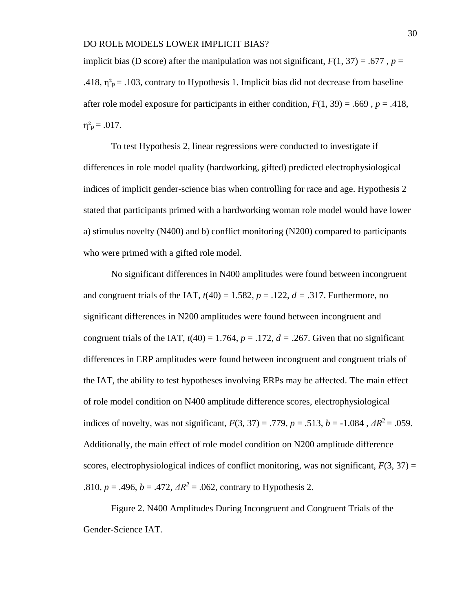implicit bias (D score) after the manipulation was not significant,  $F(1, 37) = .677$ ,  $p =$ .418,  $\eta^2$ <sub>p</sub> = .103, contrary to Hypothesis 1. Implicit bias did not decrease from baseline after role model exposure for participants in either condition,  $F(1, 39) = .669$ ,  $p = .418$ ,  $\eta^2$ <sub>p</sub> = .017.

To test Hypothesis 2, linear regressions were conducted to investigate if differences in role model quality (hardworking, gifted) predicted electrophysiological indices of implicit gender-science bias when controlling for race and age. Hypothesis 2 stated that participants primed with a hardworking woman role model would have lower a) stimulus novelty (N400) and b) conflict monitoring (N200) compared to participants who were primed with a gifted role model.

No significant differences in N400 amplitudes were found between incongruent and congruent trials of the IAT,  $t(40) = 1.582$ ,  $p = .122$ ,  $d = .317$ . Furthermore, no significant differences in N200 amplitudes were found between incongruent and congruent trials of the IAT,  $t(40) = 1.764$ ,  $p = 0.172$ ,  $d = 0.267$ . Given that no significant differences in ERP amplitudes were found between incongruent and congruent trials of the IAT, the ability to test hypotheses involving ERPs may be affected. The main effect of role model condition on N400 amplitude difference scores, electrophysiological indices of novelty, was not significant,  $F(3, 37) = .779$ ,  $p = .513$ ,  $b = -1.084$ ,  $\Delta R^2 = .059$ . Additionally, the main effect of role model condition on N200 amplitude difference scores, electrophysiological indices of conflict monitoring, was not significant,  $F(3, 37) =$ .810,  $p = .496$ ,  $b = .472$ ,  $\Delta R^2 = .062$ , contrary to Hypothesis 2.

Figure 2. N400 Amplitudes During Incongruent and Congruent Trials of the Gender-Science IAT.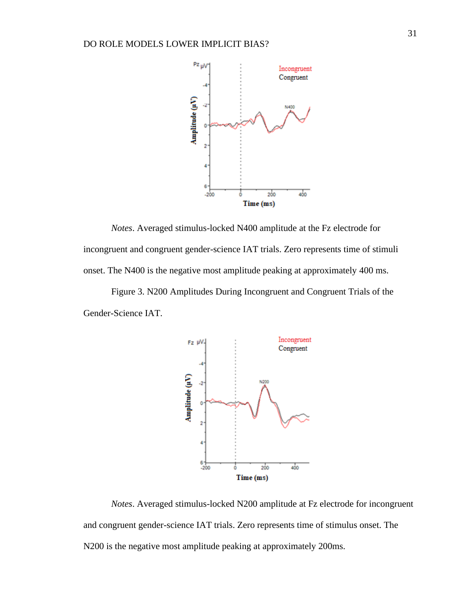

*Notes*. Averaged stimulus-locked N400 amplitude at the Fz electrode for incongruent and congruent gender-science IAT trials. Zero represents time of stimuli onset. The N400 is the negative most amplitude peaking at approximately 400 ms.

Figure 3. N200 Amplitudes During Incongruent and Congruent Trials of the Gender-Science IAT.



*Notes*. Averaged stimulus-locked N200 amplitude at Fz electrode for incongruent and congruent gender-science IAT trials. Zero represents time of stimulus onset. The N200 is the negative most amplitude peaking at approximately 200ms.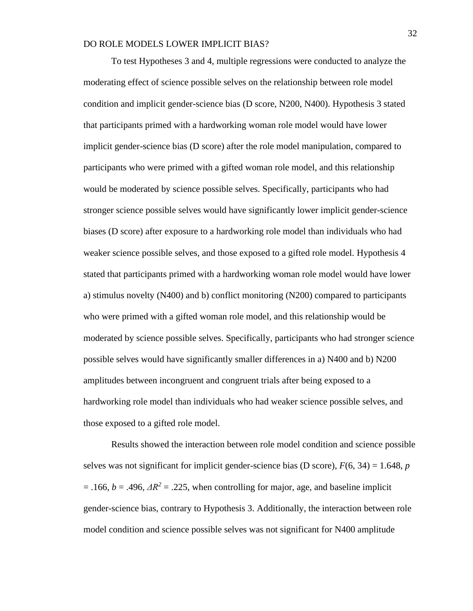To test Hypotheses 3 and 4, multiple regressions were conducted to analyze the moderating effect of science possible selves on the relationship between role model condition and implicit gender-science bias (D score, N200, N400). Hypothesis 3 stated that participants primed with a hardworking woman role model would have lower implicit gender-science bias (D score) after the role model manipulation, compared to participants who were primed with a gifted woman role model, and this relationship would be moderated by science possible selves. Specifically, participants who had stronger science possible selves would have significantly lower implicit gender-science biases (D score) after exposure to a hardworking role model than individuals who had weaker science possible selves, and those exposed to a gifted role model. Hypothesis 4 stated that participants primed with a hardworking woman role model would have lower a) stimulus novelty (N400) and b) conflict monitoring (N200) compared to participants who were primed with a gifted woman role model, and this relationship would be moderated by science possible selves. Specifically, participants who had stronger science possible selves would have significantly smaller differences in a) N400 and b) N200 amplitudes between incongruent and congruent trials after being exposed to a hardworking role model than individuals who had weaker science possible selves, and those exposed to a gifted role model.

Results showed the interaction between role model condition and science possible selves was not significant for implicit gender-science bias (D score),  $F(6, 34) = 1.648$ , *p*  $= .166$ ,  $b = .496$ ,  $\Delta R^2 = .225$ , when controlling for major, age, and baseline implicit gender-science bias, contrary to Hypothesis 3. Additionally, the interaction between role model condition and science possible selves was not significant for N400 amplitude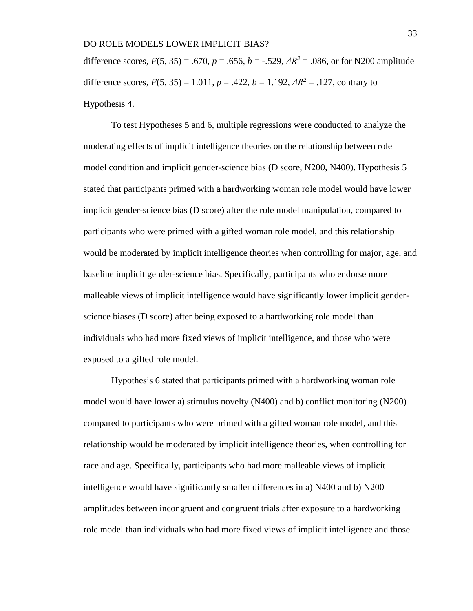difference scores,  $F(5, 35) = .670$ ,  $p = .656$ ,  $b = -.529$ ,  $AR^2 = .086$ , or for N200 amplitude difference scores,  $F(5, 35) = 1.011$ ,  $p = .422$ ,  $b = 1.192$ ,  $\Delta R^2 = .127$ , contrary to Hypothesis 4.

To test Hypotheses 5 and 6, multiple regressions were conducted to analyze the moderating effects of implicit intelligence theories on the relationship between role model condition and implicit gender-science bias (D score, N200, N400). Hypothesis 5 stated that participants primed with a hardworking woman role model would have lower implicit gender-science bias (D score) after the role model manipulation, compared to participants who were primed with a gifted woman role model, and this relationship would be moderated by implicit intelligence theories when controlling for major, age, and baseline implicit gender-science bias. Specifically, participants who endorse more malleable views of implicit intelligence would have significantly lower implicit genderscience biases (D score) after being exposed to a hardworking role model than individuals who had more fixed views of implicit intelligence, and those who were exposed to a gifted role model.

Hypothesis 6 stated that participants primed with a hardworking woman role model would have lower a) stimulus novelty (N400) and b) conflict monitoring (N200) compared to participants who were primed with a gifted woman role model, and this relationship would be moderated by implicit intelligence theories, when controlling for race and age. Specifically, participants who had more malleable views of implicit intelligence would have significantly smaller differences in a) N400 and b) N200 amplitudes between incongruent and congruent trials after exposure to a hardworking role model than individuals who had more fixed views of implicit intelligence and those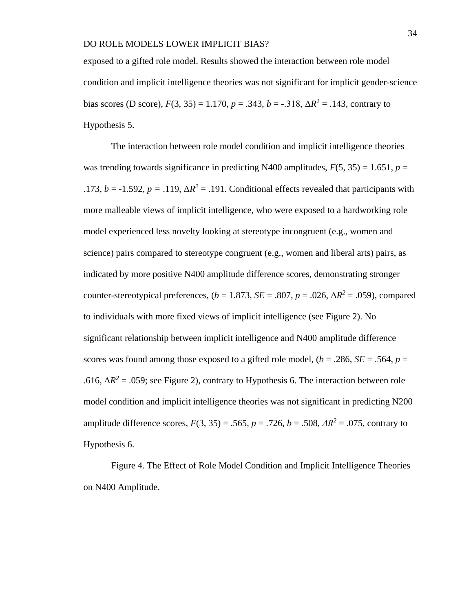exposed to a gifted role model. Results showed the interaction between role model condition and implicit intelligence theories was not significant for implicit gender-science bias scores (D score),  $F(3, 35) = 1.170$ ,  $p = .343$ ,  $b = -.318$ ,  $\Delta R^2 = .143$ , contrary to Hypothesis 5.

The interaction between role model condition and implicit intelligence theories was trending towards significance in predicting N400 amplitudes,  $F(5, 35) = 1.651$ ,  $p =$ .173,  $b = -1.592$ ,  $p = .119$ ,  $\Delta R^2 = .191$ . Conditional effects revealed that participants with more malleable views of implicit intelligence, who were exposed to a hardworking role model experienced less novelty looking at stereotype incongruent (e.g., women and science) pairs compared to stereotype congruent (e.g., women and liberal arts) pairs, as indicated by more positive N400 amplitude difference scores, demonstrating stronger counter-stereotypical preferences,  $(b = 1.873, SE = .807, p = .026, \Delta R^2 = .059)$ , compared to individuals with more fixed views of implicit intelligence (see Figure 2). No significant relationship between implicit intelligence and N400 amplitude difference scores was found among those exposed to a gifted role model,  $(b = .286, SE = .564, p = .$ .616,  $\Delta R^2$  = .059; see Figure 2), contrary to Hypothesis 6. The interaction between role model condition and implicit intelligence theories was not significant in predicting N200 amplitude difference scores,  $F(3, 35) = .565$ ,  $p = .726$ ,  $b = .508$ ,  $\Delta R^2 = .075$ , contrary to Hypothesis 6.

Figure 4. The Effect of Role Model Condition and Implicit Intelligence Theories on N400 Amplitude.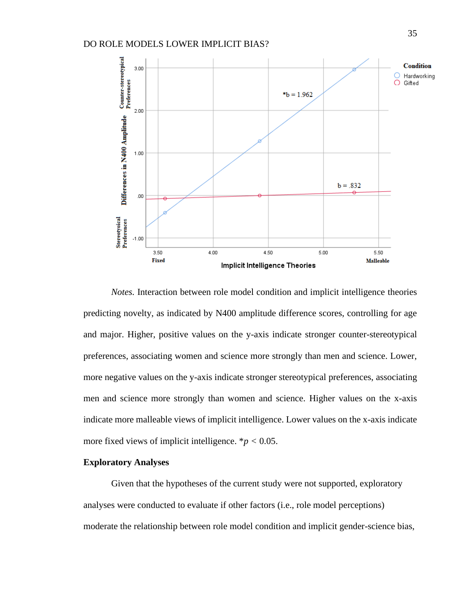

*Notes.* Interaction between role model condition and implicit intelligence theories predicting novelty, as indicated by N400 amplitude difference scores, controlling for age and major. Higher, positive values on the y-axis indicate stronger counter-stereotypical preferences, associating women and science more strongly than men and science. Lower, more negative values on the y-axis indicate stronger stereotypical preferences, associating men and science more strongly than women and science. Higher values on the x-axis indicate more malleable views of implicit intelligence. Lower values on the x-axis indicate more fixed views of implicit intelligence. \**p <* 0.05.

#### **Exploratory Analyses**

Given that the hypotheses of the current study were not supported, exploratory analyses were conducted to evaluate if other factors (i.e., role model perceptions) moderate the relationship between role model condition and implicit gender-science bias,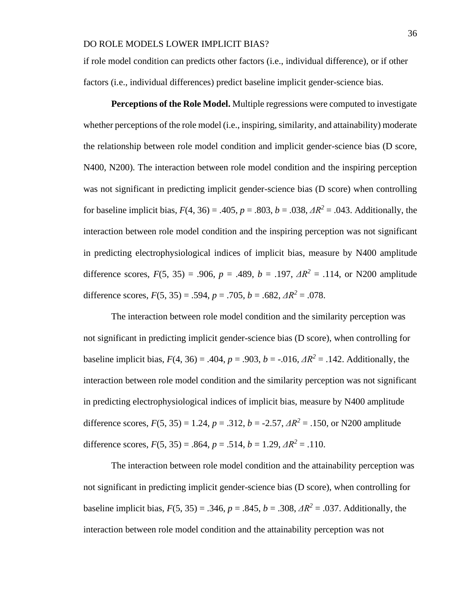if role model condition can predicts other factors (i.e., individual difference), or if other factors (i.e., individual differences) predict baseline implicit gender-science bias.

**Perceptions of the Role Model.** Multiple regressions were computed to investigate whether perceptions of the role model (i.e., inspiring, similarity, and attainability) moderate the relationship between role model condition and implicit gender-science bias (D score, N400, N200). The interaction between role model condition and the inspiring perception was not significant in predicting implicit gender-science bias (D score) when controlling for baseline implicit bias,  $F(4, 36) = .405$ ,  $p = .803$ ,  $b = .038$ ,  $\Delta R^2 = .043$ . Additionally, the interaction between role model condition and the inspiring perception was not significant in predicting electrophysiological indices of implicit bias, measure by N400 amplitude difference scores,  $F(5, 35) = .906$ ,  $p = .489$ ,  $b = .197$ ,  $AR^2 = .114$ , or N200 amplitude difference scores,  $F(5, 35) = .594$ ,  $p = .705$ ,  $b = .682$ ,  $\Delta R^2 = .078$ .

The interaction between role model condition and the similarity perception was not significant in predicting implicit gender-science bias (D score), when controlling for baseline implicit bias,  $F(4, 36) = .404$ ,  $p = .903$ ,  $b = -.016$ ,  $\Delta R^2 = .142$ . Additionally, the interaction between role model condition and the similarity perception was not significant in predicting electrophysiological indices of implicit bias, measure by N400 amplitude difference scores,  $F(5, 35) = 1.24$ ,  $p = .312$ ,  $b = -2.57$ ,  $\Delta R^2 = .150$ , or N200 amplitude difference scores,  $F(5, 35) = .864$ ,  $p = .514$ ,  $b = 1.29$ ,  $\Delta R^2 = .110$ .

The interaction between role model condition and the attainability perception was not significant in predicting implicit gender-science bias (D score), when controlling for baseline implicit bias,  $F(5, 35) = .346$ ,  $p = .845$ ,  $b = .308$ ,  $\Delta R^2 = .037$ . Additionally, the interaction between role model condition and the attainability perception was not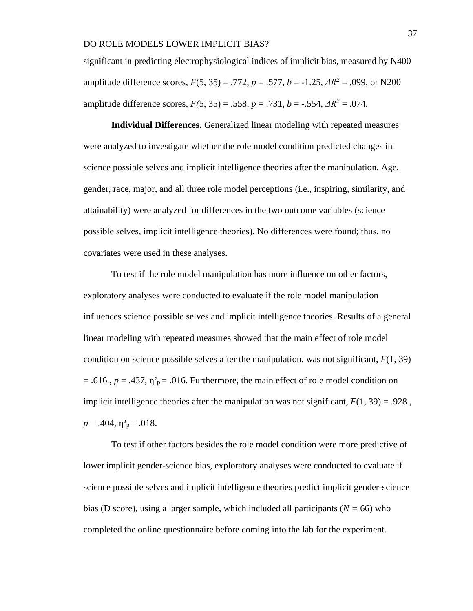significant in predicting electrophysiological indices of implicit bias, measured by N400 amplitude difference scores, *F*(5, 35) = .772, *p* = .577, *b* = -1.25, *ΔR<sup>2</sup>* = .099, or N200 amplitude difference scores,  $F(5, 35) = .558$ ,  $p = .731$ ,  $b = -.554$ ,  $\Delta R^2 = .074$ .

**Individual Differences.** Generalized linear modeling with repeated measures were analyzed to investigate whether the role model condition predicted changes in science possible selves and implicit intelligence theories after the manipulation. Age, gender, race, major, and all three role model perceptions (i.e., inspiring, similarity, and attainability) were analyzed for differences in the two outcome variables (science possible selves, implicit intelligence theories). No differences were found; thus, no covariates were used in these analyses.

To test if the role model manipulation has more influence on other factors, exploratory analyses were conducted to evaluate if the role model manipulation influences science possible selves and implicit intelligence theories. Results of a general linear modeling with repeated measures showed that the main effect of role model condition on science possible selves after the manipulation, was not significant, *F*(1, 39)  $= .616$ ,  $p = .437$ ,  $\eta^2$ <sub>p</sub> $= .016$ . Furthermore, the main effect of role model condition on implicit intelligence theories after the manipulation was not significant,  $F(1, 39) = .928$ ,  $p = .404$ ,  $\eta^2$ <sub>p</sub> = .018.

To test if other factors besides the role model condition were more predictive of lower implicit gender-science bias, exploratory analyses were conducted to evaluate if science possible selves and implicit intelligence theories predict implicit gender-science bias (D score), using a larger sample, which included all participants (*N =* 66) who completed the online questionnaire before coming into the lab for the experiment.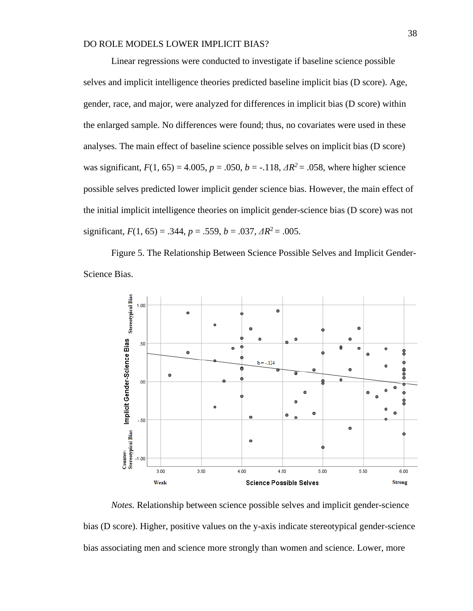Linear regressions were conducted to investigate if baseline science possible selves and implicit intelligence theories predicted baseline implicit bias (D score). Age, gender, race, and major, were analyzed for differences in implicit bias (D score) within the enlarged sample. No differences were found; thus, no covariates were used in these analyses. The main effect of baseline science possible selves on implicit bias (D score) was significant,  $F(1, 65) = 4.005$ ,  $p = .050$ ,  $b = -.118$ ,  $\Delta R^2 = .058$ , where higher science possible selves predicted lower implicit gender science bias. However, the main effect of the initial implicit intelligence theories on implicit gender-science bias (D score) was not significant,  $F(1, 65) = .344$ ,  $p = .559$ ,  $b = .037$ ,  $\Delta R^2 = .005$ .

Figure 5. The Relationship Between Science Possible Selves and Implicit Gender-Science Bias.



*Notes.* Relationship between science possible selves and implicit gender-science bias (D score). Higher, positive values on the y-axis indicate stereotypical gender-science bias associating men and science more strongly than women and science. Lower, more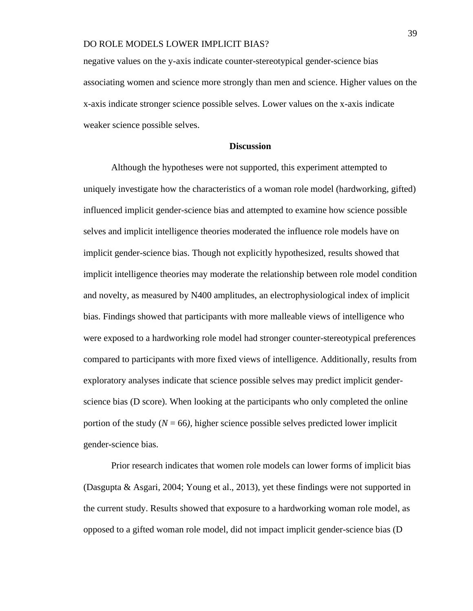negative values on the y-axis indicate counter-stereotypical gender-science bias associating women and science more strongly than men and science. Higher values on the x-axis indicate stronger science possible selves. Lower values on the x-axis indicate weaker science possible selves.

#### **Discussion**

Although the hypotheses were not supported, this experiment attempted to uniquely investigate how the characteristics of a woman role model (hardworking, gifted) influenced implicit gender-science bias and attempted to examine how science possible selves and implicit intelligence theories moderated the influence role models have on implicit gender-science bias. Though not explicitly hypothesized, results showed that implicit intelligence theories may moderate the relationship between role model condition and novelty, as measured by N400 amplitudes, an electrophysiological index of implicit bias. Findings showed that participants with more malleable views of intelligence who were exposed to a hardworking role model had stronger counter-stereotypical preferences compared to participants with more fixed views of intelligence. Additionally, results from exploratory analyses indicate that science possible selves may predict implicit genderscience bias (D score). When looking at the participants who only completed the online portion of the study  $(N = 66)$ , higher science possible selves predicted lower implicit gender-science bias.

Prior research indicates that women role models can lower forms of implicit bias (Dasgupta & Asgari, 2004; Young et al., 2013), yet these findings were not supported in the current study. Results showed that exposure to a hardworking woman role model, as opposed to a gifted woman role model, did not impact implicit gender-science bias (D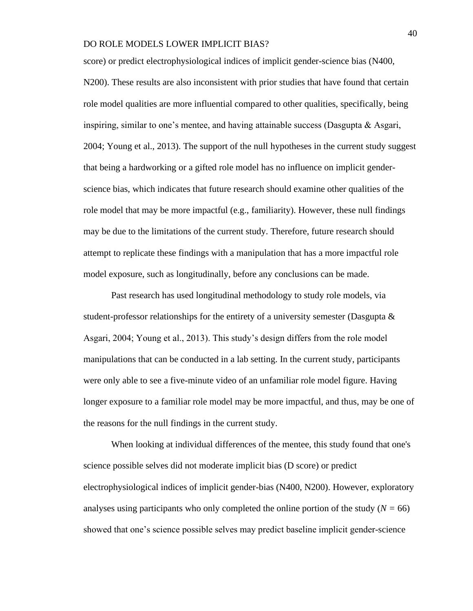score) or predict electrophysiological indices of implicit gender-science bias (N400, N200). These results are also inconsistent with prior studies that have found that certain role model qualities are more influential compared to other qualities, specifically, being inspiring, similar to one's mentee, and having attainable success (Dasgupta & Asgari, 2004; Young et al., 2013). The support of the null hypotheses in the current study suggest that being a hardworking or a gifted role model has no influence on implicit genderscience bias, which indicates that future research should examine other qualities of the role model that may be more impactful (e.g., familiarity). However, these null findings may be due to the limitations of the current study. Therefore, future research should attempt to replicate these findings with a manipulation that has a more impactful role model exposure, such as longitudinally, before any conclusions can be made.

Past research has used longitudinal methodology to study role models, via student-professor relationships for the entirety of a university semester (Dasgupta  $\&$ Asgari, 2004; Young et al., 2013). This study's design differs from the role model manipulations that can be conducted in a lab setting. In the current study, participants were only able to see a five-minute video of an unfamiliar role model figure. Having longer exposure to a familiar role model may be more impactful, and thus, may be one of the reasons for the null findings in the current study.

When looking at individual differences of the mentee, this study found that one's science possible selves did not moderate implicit bias (D score) or predict electrophysiological indices of implicit gender-bias (N400, N200). However, exploratory analyses using participants who only completed the online portion of the study  $(N = 66)$ showed that one's science possible selves may predict baseline implicit gender-science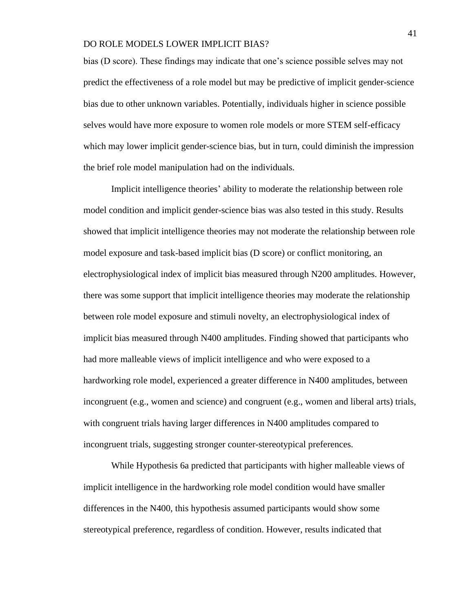bias (D score). These findings may indicate that one's science possible selves may not predict the effectiveness of a role model but may be predictive of implicit gender-science bias due to other unknown variables. Potentially, individuals higher in science possible selves would have more exposure to women role models or more STEM self-efficacy which may lower implicit gender-science bias, but in turn, could diminish the impression the brief role model manipulation had on the individuals.

Implicit intelligence theories' ability to moderate the relationship between role model condition and implicit gender-science bias was also tested in this study. Results showed that implicit intelligence theories may not moderate the relationship between role model exposure and task-based implicit bias (D score) or conflict monitoring, an electrophysiological index of implicit bias measured through N200 amplitudes. However, there was some support that implicit intelligence theories may moderate the relationship between role model exposure and stimuli novelty, an electrophysiological index of implicit bias measured through N400 amplitudes. Finding showed that participants who had more malleable views of implicit intelligence and who were exposed to a hardworking role model, experienced a greater difference in N400 amplitudes, between incongruent (e.g., women and science) and congruent (e.g., women and liberal arts) trials, with congruent trials having larger differences in N400 amplitudes compared to incongruent trials, suggesting stronger counter-stereotypical preferences.

While Hypothesis 6a predicted that participants with higher malleable views of implicit intelligence in the hardworking role model condition would have smaller differences in the N400, this hypothesis assumed participants would show some stereotypical preference, regardless of condition. However, results indicated that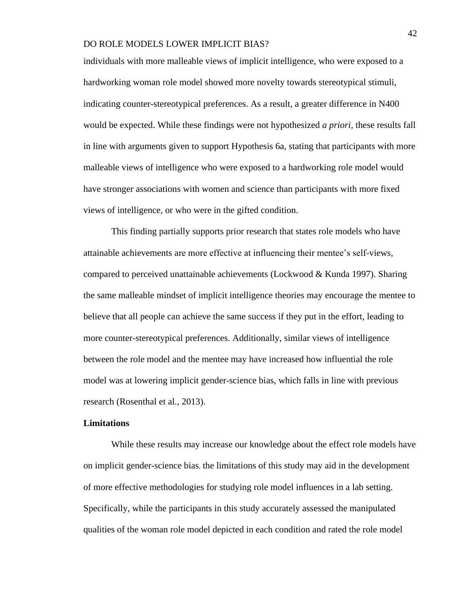individuals with more malleable views of implicit intelligence, who were exposed to a hardworking woman role model showed more novelty towards stereotypical stimuli, indicating counter-stereotypical preferences. As a result, a greater difference in N400 would be expected. While these findings were not hypothesized *a priori*, these results fall in line with arguments given to support Hypothesis 6a, stating that participants with more malleable views of intelligence who were exposed to a hardworking role model would have stronger associations with women and science than participants with more fixed views of intelligence, or who were in the gifted condition.

This finding partially supports prior research that states role models who have attainable achievements are more effective at influencing their mentee's self-views, compared to perceived unattainable achievements (Lockwood & Kunda 1997). Sharing the same malleable mindset of implicit intelligence theories may encourage the mentee to believe that all people can achieve the same success if they put in the effort, leading to more counter-stereotypical preferences. Additionally, similar views of intelligence between the role model and the mentee may have increased how influential the role model was at lowering implicit gender-science bias, which falls in line with previous research (Rosenthal et al., 2013).

## **Limitations**

While these results may increase our knowledge about the effect role models have on implicit gender-science bias, the limitations of this study may aid in the development of more effective methodologies for studying role model influences in a lab setting. Specifically, while the participants in this study accurately assessed the manipulated qualities of the woman role model depicted in each condition and rated the role model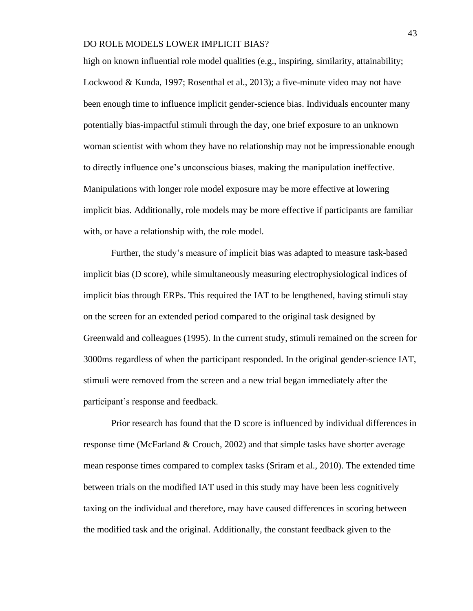high on known influential role model qualities (e.g., inspiring, similarity, attainability; Lockwood & Kunda, 1997; Rosenthal et al., 2013); a five-minute video may not have been enough time to influence implicit gender-science bias. Individuals encounter many potentially bias-impactful stimuli through the day, one brief exposure to an unknown woman scientist with whom they have no relationship may not be impressionable enough to directly influence one's unconscious biases, making the manipulation ineffective. Manipulations with longer role model exposure may be more effective at lowering implicit bias. Additionally, role models may be more effective if participants are familiar with, or have a relationship with, the role model.

Further, the study's measure of implicit bias was adapted to measure task-based implicit bias (D score), while simultaneously measuring electrophysiological indices of implicit bias through ERPs. This required the IAT to be lengthened, having stimuli stay on the screen for an extended period compared to the original task designed by Greenwald and colleagues (1995). In the current study, stimuli remained on the screen for 3000ms regardless of when the participant responded. In the original gender-science IAT, stimuli were removed from the screen and a new trial began immediately after the participant's response and feedback.

Prior research has found that the D score is influenced by individual differences in response time (McFarland & Crouch, 2002) and that simple tasks have shorter average mean response times compared to complex tasks (Sriram et al., 2010). The extended time between trials on the modified IAT used in this study may have been less cognitively taxing on the individual and therefore, may have caused differences in scoring between the modified task and the original. Additionally, the constant feedback given to the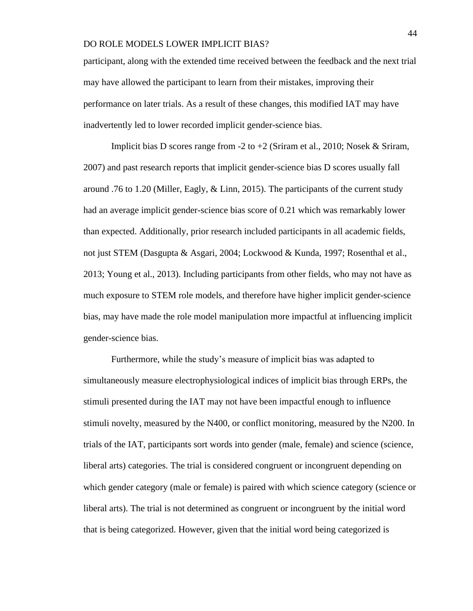participant, along with the extended time received between the feedback and the next trial may have allowed the participant to learn from their mistakes, improving their performance on later trials. As a result of these changes, this modified IAT may have inadvertently led to lower recorded implicit gender-science bias.

Implicit bias D scores range from -2 to +2 (Sriram et al., 2010; Nosek & Sriram, 2007) and past research reports that implicit gender-science bias D scores usually fall around .76 to 1.20 (Miller, Eagly,  $\&$  Linn, 2015). The participants of the current study had an average implicit gender-science bias score of 0.21 which was remarkably lower than expected. Additionally, prior research included participants in all academic fields, not just STEM (Dasgupta & Asgari, 2004; Lockwood & Kunda, 1997; Rosenthal et al., 2013; Young et al., 2013). Including participants from other fields, who may not have as much exposure to STEM role models, and therefore have higher implicit gender-science bias, may have made the role model manipulation more impactful at influencing implicit gender-science bias.

Furthermore, while the study's measure of implicit bias was adapted to simultaneously measure electrophysiological indices of implicit bias through ERPs, the stimuli presented during the IAT may not have been impactful enough to influence stimuli novelty, measured by the N400, or conflict monitoring, measured by the N200. In trials of the IAT, participants sort words into gender (male, female) and science (science, liberal arts) categories. The trial is considered congruent or incongruent depending on which gender category (male or female) is paired with which science category (science or liberal arts). The trial is not determined as congruent or incongruent by the initial word that is being categorized. However, given that the initial word being categorized is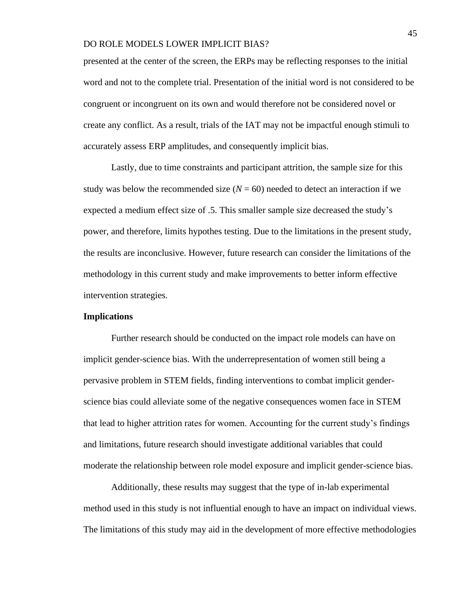presented at the center of the screen, the ERPs may be reflecting responses to the initial word and not to the complete trial. Presentation of the initial word is not considered to be congruent or incongruent on its own and would therefore not be considered novel or create any conflict. As a result, trials of the IAT may not be impactful enough stimuli to accurately assess ERP amplitudes, and consequently implicit bias.

Lastly, due to time constraints and participant attrition, the sample size for this study was below the recommended size  $(N = 60)$  needed to detect an interaction if we expected a medium effect size of .5. This smaller sample size decreased the study's power, and therefore, limits hypothes testing. Due to the limitations in the present study, the results are inconclusive. However, future research can consider the limitations of the methodology in this current study and make improvements to better inform effective intervention strategies.

#### **Implications**

Further research should be conducted on the impact role models can have on implicit gender-science bias. With the underrepresentation of women still being a pervasive problem in STEM fields, finding interventions to combat implicit genderscience bias could alleviate some of the negative consequences women face in STEM that lead to higher attrition rates for women. Accounting for the current study's findings and limitations, future research should investigate additional variables that could moderate the relationship between role model exposure and implicit gender-science bias.

Additionally, these results may suggest that the type of in-lab experimental method used in this study is not influential enough to have an impact on individual views. The limitations of this study may aid in the development of more effective methodologies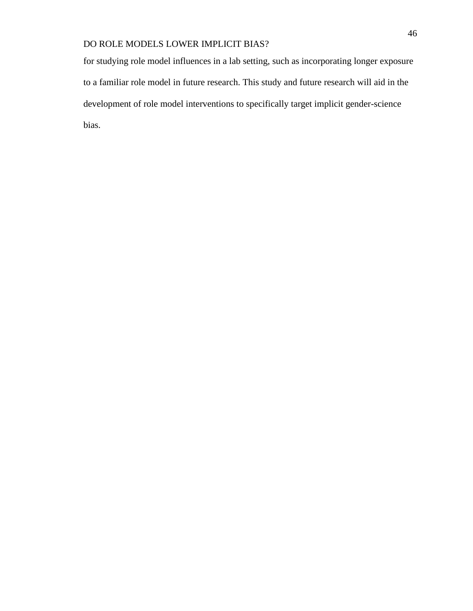for studying role model influences in a lab setting, such as incorporating longer exposure to a familiar role model in future research. This study and future research will aid in the development of role model interventions to specifically target implicit gender-science bias.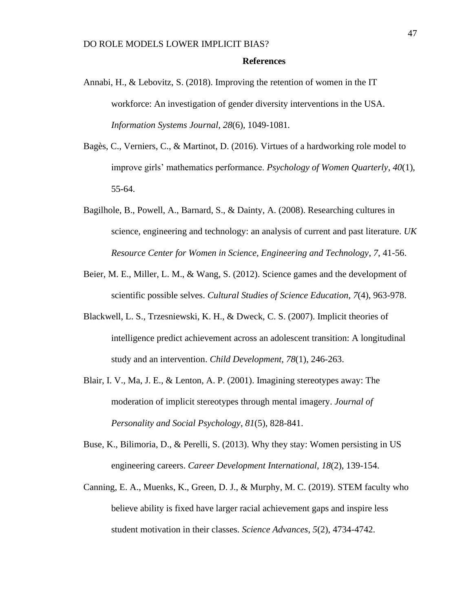## **References**

- Annabi, H., & Lebovitz, S. (2018). Improving the retention of women in the IT workforce: An investigation of gender diversity interventions in the USA. *Information Systems Journal, 28*(6), 1049-1081*.*
- Bagès, C., Verniers, C., & Martinot, D. (2016). Virtues of a hardworking role model to improve girls' mathematics performance. *Psychology of Women Quarterly*, *40*(1), 55-64.
- Bagilhole, B., Powell, A., Barnard, S., & Dainty, A. (2008). Researching cultures in science, engineering and technology: an analysis of current and past literature. *UK Resource Center for Women in Science, Engineering and Technology*, *7*, 41-56.
- Beier, M. E., Miller, L. M., & Wang, S. (2012). Science games and the development of scientific possible selves. *Cultural Studies of Science Education*, *7*(4), 963-978.
- Blackwell, L. S., Trzesniewski, K. H., & Dweck, C. S. (2007). Implicit theories of intelligence predict achievement across an adolescent transition: A longitudinal study and an intervention. *Child Development, 78*(1), 246-263.
- Blair, I. V., Ma, J. E., & Lenton, A. P. (2001). Imagining stereotypes away: The moderation of implicit stereotypes through mental imagery. *Journal of Personality and Social Psychology*, *81*(5), 828-841.
- Buse, K., Bilimoria, D., & Perelli, S. (2013). Why they stay: Women persisting in US engineering careers. *Career Development International, 18*(2), 139-154.
- Canning, E. A., Muenks, K., Green, D. J., & Murphy, M. C. (2019). STEM faculty who believe ability is fixed have larger racial achievement gaps and inspire less student motivation in their classes. *Science Advances*, *5*(2), 4734-4742.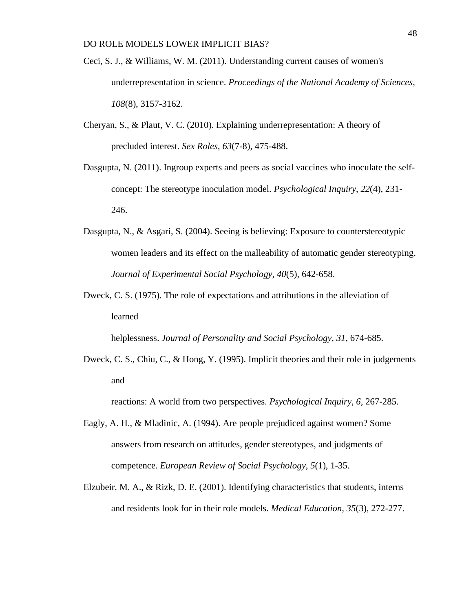- Ceci, S. J., & Williams, W. M. (2011). Understanding current causes of women's underrepresentation in science. *Proceedings of the National Academy of Sciences*, *108*(8), 3157-3162.
- Cheryan, S., & Plaut, V. C. (2010). Explaining underrepresentation: A theory of precluded interest. *Sex Roles*, *63*(7-8), 475-488.
- Dasgupta, N. (2011). Ingroup experts and peers as social vaccines who inoculate the selfconcept: The stereotype inoculation model. *Psychological Inquiry*, *22*(4), 231- 246.
- Dasgupta, N., & Asgari, S. (2004). Seeing is believing: Exposure to counterstereotypic women leaders and its effect on the malleability of automatic gender stereotyping. *Journal of Experimental Social Psychology, 40*(5), 642-658.
- Dweck, C. S. (1975). The role of expectations and attributions in the alleviation of learned

helplessness. *Journal of Personality and Social Psychology, 31*, 674-685.

Dweck, C. S., Chiu, C., & Hong, Y. (1995). Implicit theories and their role in judgements and

reactions: A world from two perspectives. *Psychological Inquiry, 6,* 267-285.

- Eagly, A. H., & Mladinic, A. (1994). Are people prejudiced against women? Some answers from research on attitudes, gender stereotypes, and judgments of competence. *European Review of Social Psychology*, *5*(1), 1-35.
- Elzubeir, M. A., & Rizk, D. E. (2001). Identifying characteristics that students, interns and residents look for in their role models. *Medical Education, 35*(3), 272-277.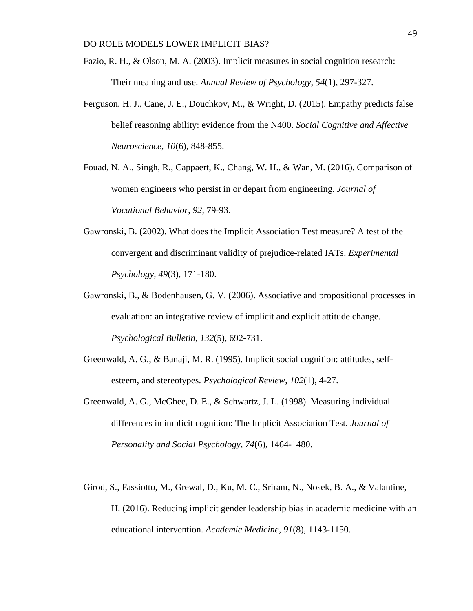- Fazio, R. H., & Olson, M. A. (2003). Implicit measures in social cognition research: Their meaning and use. *Annual Review of Psychology*, *54*(1), 297-327.
- Ferguson, H. J., Cane, J. E., Douchkov, M., & Wright, D. (2015). Empathy predicts false belief reasoning ability: evidence from the N400. *Social Cognitive and Affective Neuroscience*, *10*(6), 848-855.
- Fouad, N. A., Singh, R., Cappaert, K., Chang, W. H., & Wan, M. (2016). Comparison of women engineers who persist in or depart from engineering. *Journal of Vocational Behavior*, *92*, 79-93.
- Gawronski, B. (2002). What does the Implicit Association Test measure? A test of the convergent and discriminant validity of prejudice-related IATs. *Experimental Psychology*, *49*(3), 171-180.
- Gawronski, B., & Bodenhausen, G. V. (2006). Associative and propositional processes in evaluation: an integrative review of implicit and explicit attitude change. *Psychological Bulletin*, *132*(5), 692-731.
- Greenwald, A. G., & Banaji, M. R. (1995). Implicit social cognition: attitudes, selfesteem, and stereotypes. *Psychological Review*, *102*(1), 4-27.
- Greenwald, A. G., McGhee, D. E., & Schwartz, J. L. (1998). Measuring individual differences in implicit cognition: The Implicit Association Test. *Journal of Personality and Social Psychology, 74*(6), 1464-1480.
- Girod, S., Fassiotto, M., Grewal, D., Ku, M. C., Sriram, N., Nosek, B. A., & Valantine, H. (2016). Reducing implicit gender leadership bias in academic medicine with an educational intervention. *Academic Medicine*, *91*(8), 1143-1150.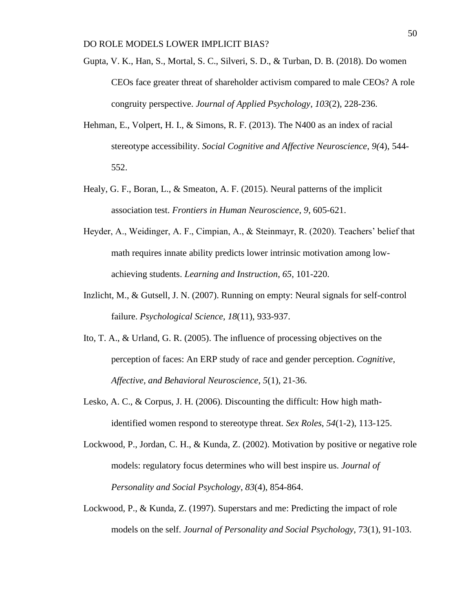- Gupta, V. K., Han, S., Mortal, S. C., Silveri, S. D., & Turban, D. B. (2018). Do women CEOs face greater threat of shareholder activism compared to male CEOs? A role congruity perspective. *Journal of Applied Psychology*, *103*(2), 228-236.
- Hehman, E., Volpert, H. I., & Simons, R. F. (2013). The N400 as an index of racial stereotype accessibility. *Social Cognitive and Affective Neuroscience*, *9(*4), 544- 552.
- Healy, G. F., Boran, L., & Smeaton, A. F. (2015). Neural patterns of the implicit association test. *Frontiers in Human Neuroscience*, *9*, 605-621.
- Heyder, A., Weidinger, A. F., Cimpian, A., & Steinmayr, R. (2020). Teachers' belief that math requires innate ability predicts lower intrinsic motivation among lowachieving students. *Learning and Instruction*, *65*, 101-220.
- Inzlicht, M., & Gutsell, J. N. (2007). Running on empty: Neural signals for self-control failure. *Psychological Science*, *18*(11), 933-937.
- Ito, T. A., & Urland, G. R. (2005). The influence of processing objectives on the perception of faces: An ERP study of race and gender perception. *Cognitive, Affective, and Behavioral Neuroscience*, *5*(1), 21-36.
- Lesko, A. C., & Corpus, J. H. (2006). Discounting the difficult: How high mathidentified women respond to stereotype threat. *Sex Roles*, *54*(1-2), 113-125.
- Lockwood, P., Jordan, C. H., & Kunda, Z. (2002). Motivation by positive or negative role models: regulatory focus determines who will best inspire us. *Journal of Personality and Social Psychology*, *83*(4), 854-864.
- Lockwood, P., & Kunda, Z. (1997). Superstars and me: Predicting the impact of role models on the self. *Journal of Personality and Social Psychology*, 73(1), 91-103.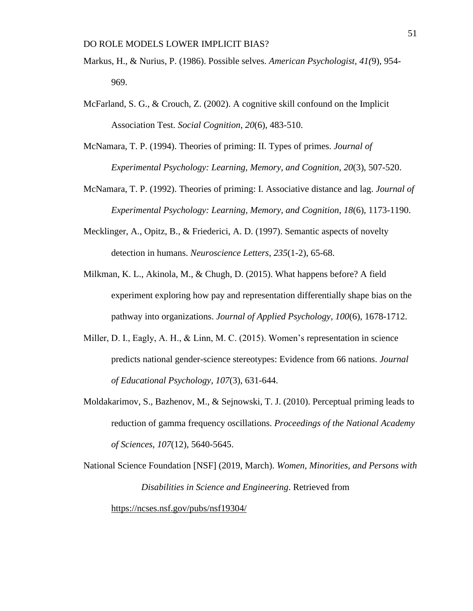- Markus, H., & Nurius, P. (1986). Possible selves. *American Psychologist, 41(*9), 954- 969.
- McFarland, S. G., & Crouch, Z. (2002). A cognitive skill confound on the Implicit Association Test. *Social Cognition*, *20*(6), 483-510.
- McNamara, T. P. (1994). Theories of priming: II. Types of primes. *Journal of Experimental Psychology: Learning, Memory, and Cognition*, *20*(3), 507-520.
- McNamara, T. P. (1992). Theories of priming: I. Associative distance and lag. *Journal of Experimental Psychology: Learning, Memory, and Cognition*, *18*(6), 1173-1190.
- Mecklinger, A., Opitz, B., & Friederici, A. D. (1997). Semantic aspects of novelty detection in humans. *Neuroscience Letters*, *235*(1-2), 65-68.
- Milkman, K. L., Akinola, M., & Chugh, D. (2015). What happens before? A field experiment exploring how pay and representation differentially shape bias on the pathway into organizations. *Journal of Applied Psychology, 100*(6), 1678-1712.
- Miller, D. I., Eagly, A. H., & Linn, M. C. (2015). Women's representation in science predicts national gender-science stereotypes: Evidence from 66 nations. *Journal of Educational Psychology*, *107*(3), 631-644.
- Moldakarimov, S., Bazhenov, M., & Sejnowski, T. J. (2010). Perceptual priming leads to reduction of gamma frequency oscillations. *Proceedings of the National Academy of Sciences*, *107*(12), 5640-5645.

National Science Foundation [NSF] (2019, March). *Women, Minorities, and Persons with Disabilities in Science and Engineering*. Retrieved from <https://ncses.nsf.gov/pubs/nsf19304/>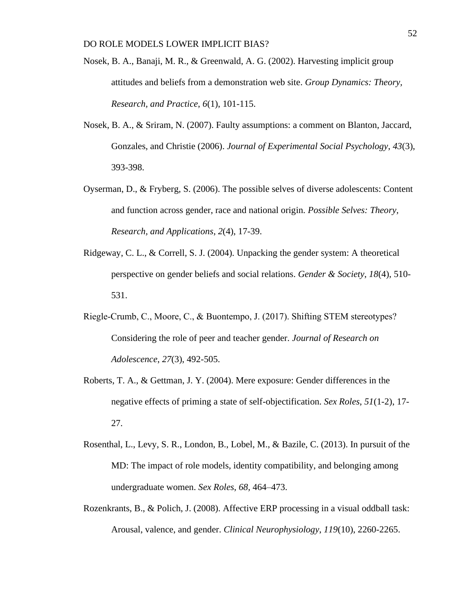- Nosek, B. A., Banaji, M. R., & Greenwald, A. G. (2002). Harvesting implicit group attitudes and beliefs from a demonstration web site. *Group Dynamics: Theory, Research, and Practice*, *6*(1), 101-115.
- Nosek, B. A., & Sriram, N. (2007). Faulty assumptions: a comment on Blanton, Jaccard, Gonzales, and Christie (2006). *Journal of Experimental Social Psychology*, *43*(3), 393-398.
- Oyserman, D., & Fryberg, S. (2006). The possible selves of diverse adolescents: Content and function across gender, race and national origin. *Possible Selves: Theory, Research, and Applications*, *2*(4), 17-39.
- Ridgeway, C. L., & Correll, S. J. (2004). Unpacking the gender system: A theoretical perspective on gender beliefs and social relations. *Gender & Society*, *18*(4), 510- 531.
- Riegle‐Crumb, C., Moore, C., & Buontempo, J. (2017). Shifting STEM stereotypes? Considering the role of peer and teacher gender. *Journal of Research on Adolescence*, *27*(3), 492-505.
- Roberts, T. A., & Gettman, J. Y. (2004). Mere exposure: Gender differences in the negative effects of priming a state of self-objectification. *Sex Roles*, *51*(1-2), 17- 27.
- Rosenthal, L., Levy, S. R., London, B., Lobel, M., & Bazile, C. (2013). In pursuit of the MD: The impact of role models, identity compatibility, and belonging among undergraduate women. *Sex Roles*, *68,* 464–473.
- Rozenkrants, B., & Polich, J. (2008). Affective ERP processing in a visual oddball task: Arousal, valence, and gender. *Clinical Neurophysiology*, *119*(10), 2260-2265.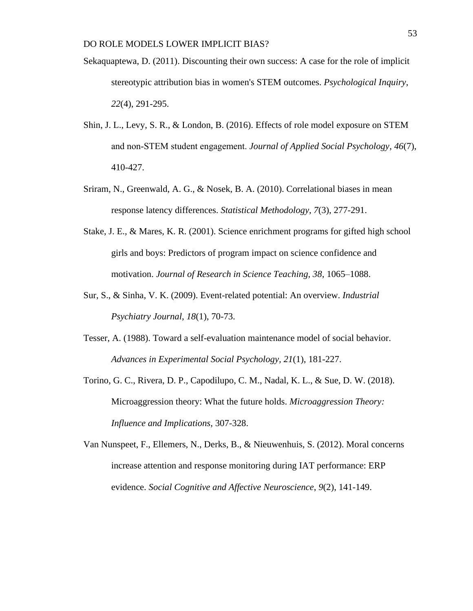- Sekaquaptewa, D. (2011). Discounting their own success: A case for the role of implicit stereotypic attribution bias in women's STEM outcomes. *Psychological Inquiry*, *22*(4), 291-295.
- Shin, J. L., Levy, S. R., & London, B. (2016). Effects of role model exposure on STEM and non‐STEM student engagement. *Journal of Applied Social Psychology*, *46*(7), 410-427.
- Sriram, N., Greenwald, A. G., & Nosek, B. A. (2010). Correlational biases in mean response latency differences. *Statistical Methodology*, *7*(3), 277-291.
- Stake, J. E., & Mares, K. R. (2001). Science enrichment programs for gifted high school girls and boys: Predictors of program impact on science confidence and motivation. *Journal of Research in Science Teaching, 38*, 1065–1088.
- Sur, S., & Sinha, V. K. (2009). Event-related potential: An overview. *Industrial Psychiatry Journal*, *18*(1), 70-73.
- Tesser, A. (1988). Toward a self-evaluation maintenance model of social behavior. *Advances in Experimental Social Psychology, 21*(1), 181-227.
- Torino, G. C., Rivera, D. P., Capodilupo, C. M., Nadal, K. L., & Sue, D. W. (2018). Microaggression theory: What the future holds. *Microaggression Theory: Influence and Implications*, 307-328.
- Van Nunspeet, F., Ellemers, N., Derks, B., & Nieuwenhuis, S. (2012). Moral concerns increase attention and response monitoring during IAT performance: ERP evidence. *Social Cognitive and Affective Neuroscience*, *9*(2), 141-149.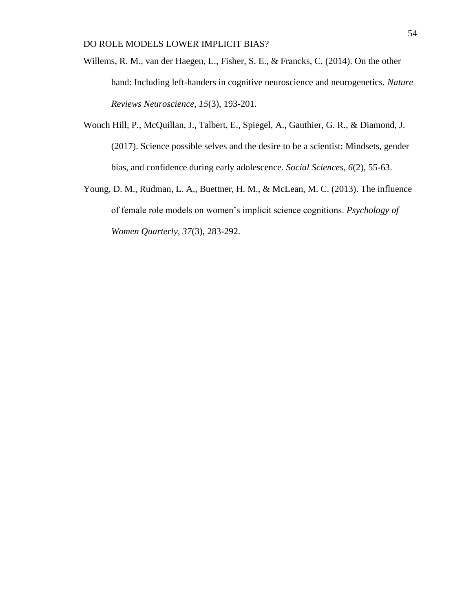- Willems, R. M., van der Haegen, L., Fisher, S. E., & Francks, C. (2014). On the other hand: Including left-handers in cognitive neuroscience and neurogenetics. *Nature Reviews Neuroscience*, *15*(3), 193-201.
- Wonch Hill, P., McQuillan, J., Talbert, E., Spiegel, A., Gauthier, G. R., & Diamond, J. (2017). Science possible selves and the desire to be a scientist: Mindsets, gender bias, and confidence during early adolescence. *Social Sciences, 6*(2), 55-63.
- Young, D. M., Rudman, L. A., Buettner, H. M., & McLean, M. C. (2013). The influence of female role models on women's implicit science cognitions. *Psychology of Women Quarterly*, *37*(3), 283-292.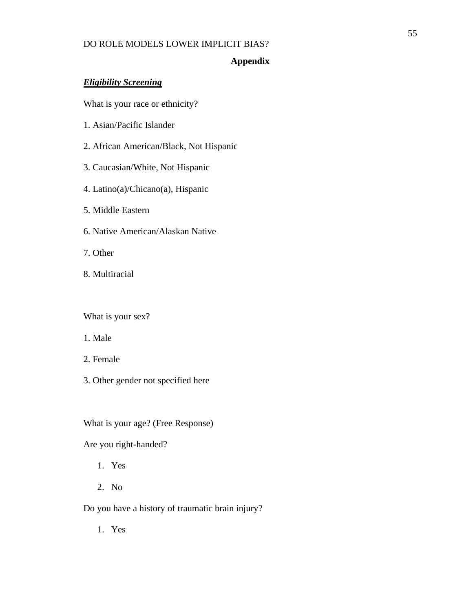# **Appendix**

# *Eligibility Screening*

What is your race or ethnicity?

- 1. Asian/Pacific Islander
- 2. African American/Black, Not Hispanic
- 3. Caucasian/White, Not Hispanic
- 4. Latino(a)/Chicano(a), Hispanic
- 5. Middle Eastern
- 6. Native American/Alaskan Native
- 7. Other
- 8. Multiracial

What is your sex?

- 1. Male
- 2. Female
- 3. Other gender not specified here

What is your age? (Free Response)

Are you right-handed?

- 1. Yes
- 2. No

Do you have a history of traumatic brain injury?

1. Yes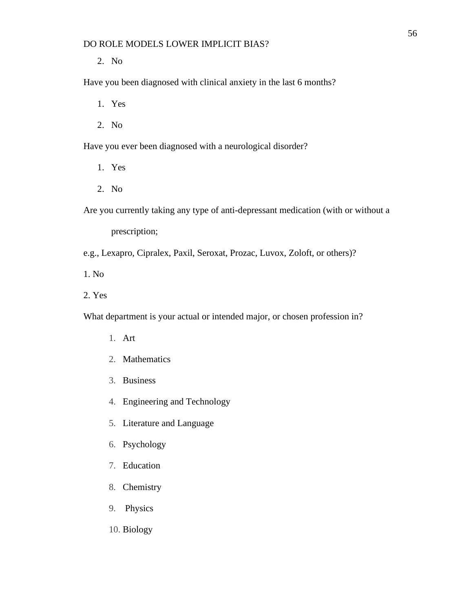2. No

Have you been diagnosed with clinical anxiety in the last 6 months?

- 1. Yes
- 2. No

Have you ever been diagnosed with a neurological disorder?

- 1. Yes
- 2. No

Are you currently taking any type of anti-depressant medication (with or without a

prescription;

e.g., Lexapro, Cipralex, Paxil, Seroxat, Prozac, Luvox, Zoloft, or others)?

1. No

2. Yes

What department is your actual or intended major, or chosen profession in?

- 1. Art
- 2. Mathematics
- 3. Business
- 4. Engineering and Technology
- 5. Literature and Language
- 6. Psychology
- 7. Education
- 8. Chemistry
- 9. Physics
- 10. Biology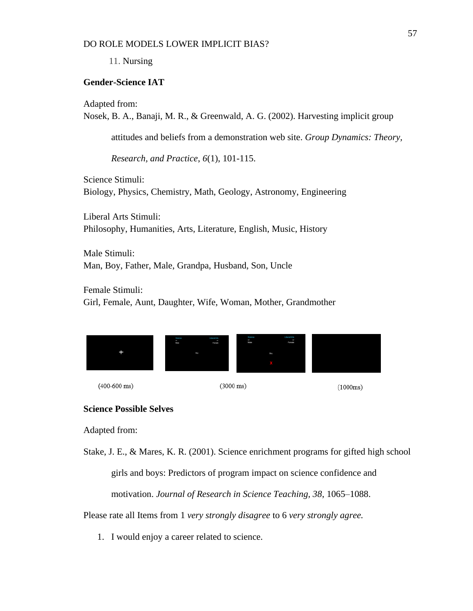11. Nursing

## **Gender-Science IAT**

Adapted from:

Nosek, B. A., Banaji, M. R., & Greenwald, A. G. (2002). Harvesting implicit group

attitudes and beliefs from a demonstration web site. *Group Dynamics: Theory,* 

*Research, and Practice*, *6*(1), 101-115.

Science Stimuli: Biology, Physics, Chemistry, Math, Geology, Astronomy, Engineering

Liberal Arts Stimuli: Philosophy, Humanities, Arts, Literature, English, Music, History

Male Stimuli: Man, Boy, Father, Male, Grandpa, Husband, Son, Uncle

Female Stimuli: Girl, Female, Aunt, Daughter, Wife, Woman, Mother, Grandmother



 $(400-600$  ms)

 $(3000 \text{ ms})$ 

 $(1000ms)$ 

# **Science Possible Selves**

Adapted from:

Stake, J. E., & Mares, K. R. (2001). Science enrichment programs for gifted high school girls and boys: Predictors of program impact on science confidence and motivation. *Journal of Research in Science Teaching, 38*, 1065–1088.

Please rate all Items from 1 *very strongly disagree* to 6 *very strongly agree.*

1. I would enjoy a career related to science.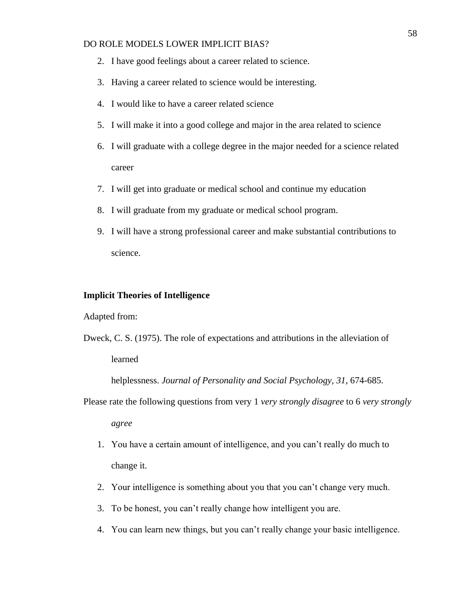- 2. I have good feelings about a career related to science.
- 3. Having a career related to science would be interesting.
- 4. I would like to have a career related science
- 5. I will make it into a good college and major in the area related to science
- 6. I will graduate with a college degree in the major needed for a science related career
- 7. I will get into graduate or medical school and continue my education
- 8. I will graduate from my graduate or medical school program.
- 9. I will have a strong professional career and make substantial contributions to science.

#### **Implicit Theories of Intelligence**

Adapted from:

Dweck, C. S. (1975). The role of expectations and attributions in the alleviation of learned

helplessness. *Journal of Personality and Social Psychology, 31*, 674-685.

Please rate the following questions from very 1 *very strongly disagree* to 6 *very strongly* 

*agree*

- 1. You have a certain amount of intelligence, and you can't really do much to change it.
- 2. Your intelligence is something about you that you can't change very much.
- 3. To be honest, you can't really change how intelligent you are.
- 4. You can learn new things, but you can't really change your basic intelligence.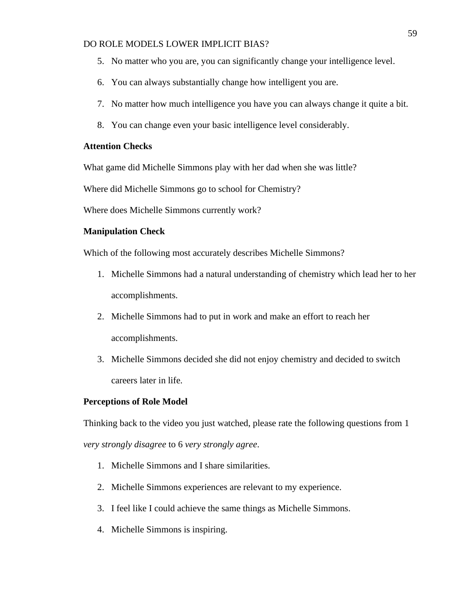- 5. No matter who you are, you can significantly change your intelligence level.
- 6. You can always substantially change how intelligent you are.
- 7. No matter how much intelligence you have you can always change it quite a bit.
- 8. You can change even your basic intelligence level considerably.

## **Attention Checks**

What game did Michelle Simmons play with her dad when she was little?

Where did Michelle Simmons go to school for Chemistry?

Where does Michelle Simmons currently work?

#### **Manipulation Check**

Which of the following most accurately describes Michelle Simmons?

- 1. Michelle Simmons had a natural understanding of chemistry which lead her to her accomplishments.
- 2. Michelle Simmons had to put in work and make an effort to reach her accomplishments.
- 3. Michelle Simmons decided she did not enjoy chemistry and decided to switch careers later in life.

#### **Perceptions of Role Model**

Thinking back to the video you just watched, please rate the following questions from 1 *very strongly disagree* to 6 *very strongly agree*.

- 1. Michelle Simmons and I share similarities.
- 2. Michelle Simmons experiences are relevant to my experience.
- 3. I feel like I could achieve the same things as Michelle Simmons.
- 4. Michelle Simmons is inspiring.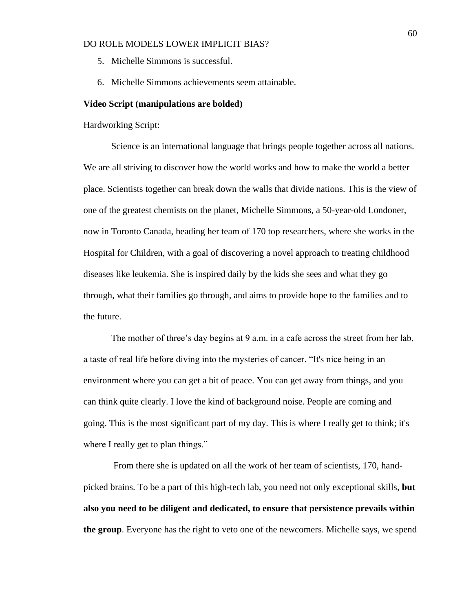- 5. Michelle Simmons is successful.
- 6. Michelle Simmons achievements seem attainable.

#### **Video Script (manipulations are bolded)**

Hardworking Script:

Science is an international language that brings people together across all nations. We are all striving to discover how the world works and how to make the world a better place. Scientists together can break down the walls that divide nations. This is the view of one of the greatest chemists on the planet, Michelle Simmons, a 50-year-old Londoner, now in Toronto Canada, heading her team of 170 top researchers, where she works in the Hospital for Children, with a goal of discovering a novel approach to treating childhood diseases like leukemia. She is inspired daily by the kids she sees and what they go through, what their families go through, and aims to provide hope to the families and to the future.

The mother of three's day begins at 9 a.m. in a cafe across the street from her lab, a taste of real life before diving into the mysteries of cancer. "It's nice being in an environment where you can get a bit of peace. You can get away from things, and you can think quite clearly. I love the kind of background noise. People are coming and going. This is the most significant part of my day. This is where I really get to think; it's where I really get to plan things."

From there she is updated on all the work of her team of scientists, 170, handpicked brains. To be a part of this high-tech lab, you need not only exceptional skills, **but also you need to be diligent and dedicated, to ensure that persistence prevails within the group**. Everyone has the right to veto one of the newcomers. Michelle says, we spend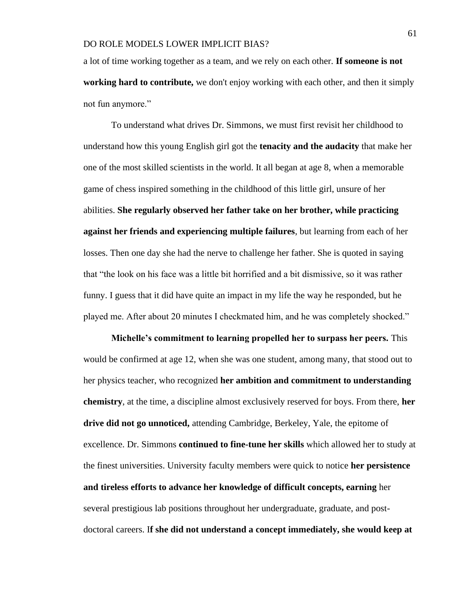a lot of time working together as a team, and we rely on each other. **If someone is not working hard to contribute,** we don't enjoy working with each other, and then it simply not fun anymore."

To understand what drives Dr. Simmons, we must first revisit her childhood to understand how this young English girl got the **tenacity and the audacity** that make her one of the most skilled scientists in the world. It all began at age 8, when a memorable game of chess inspired something in the childhood of this little girl, unsure of her abilities. **She regularly observed her father take on her brother, while practicing against her friends and experiencing multiple failures**, but learning from each of her losses. Then one day she had the nerve to challenge her father. She is quoted in saying that "the look on his face was a little bit horrified and a bit dismissive, so it was rather funny. I guess that it did have quite an impact in my life the way he responded, but he played me. After about 20 minutes I checkmated him, and he was completely shocked."

**Michelle's commitment to learning propelled her to surpass her peers.** This would be confirmed at age 12, when she was one student, among many, that stood out to her physics teacher, who recognized **her ambition and commitment to understanding chemistry**, at the time, a discipline almost exclusively reserved for boys. From there, **her drive did not go unnoticed,** attending Cambridge, Berkeley, Yale, the epitome of excellence. Dr. Simmons **continued to fine-tune her skills** which allowed her to study at the finest universities. University faculty members were quick to notice **her persistence and tireless efforts to advance her knowledge of difficult concepts, earning** her several prestigious lab positions throughout her undergraduate, graduate, and postdoctoral careers. I**f she did not understand a concept immediately, she would keep at** 

61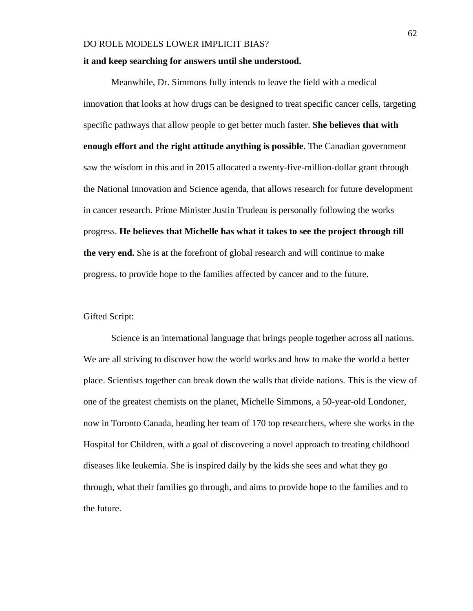#### **it and keep searching for answers until she understood.**

Meanwhile, Dr. Simmons fully intends to leave the field with a medical innovation that looks at how drugs can be designed to treat specific cancer cells, targeting specific pathways that allow people to get better much faster. **She believes that with enough effort and the right attitude anything is possible**. The Canadian government saw the wisdom in this and in 2015 allocated a twenty-five-million-dollar grant through the National Innovation and Science agenda, that allows research for future development in cancer research. Prime Minister Justin Trudeau is personally following the works progress. **He believes that Michelle has what it takes to see the project through till the very end.** She is at the forefront of global research and will continue to make progress, to provide hope to the families affected by cancer and to the future.

## Gifted Script:

Science is an international language that brings people together across all nations. We are all striving to discover how the world works and how to make the world a better place. Scientists together can break down the walls that divide nations. This is the view of one of the greatest chemists on the planet, Michelle Simmons, a 50-year-old Londoner, now in Toronto Canada, heading her team of 170 top researchers, where she works in the Hospital for Children, with a goal of discovering a novel approach to treating childhood diseases like leukemia. She is inspired daily by the kids she sees and what they go through, what their families go through, and aims to provide hope to the families and to the future.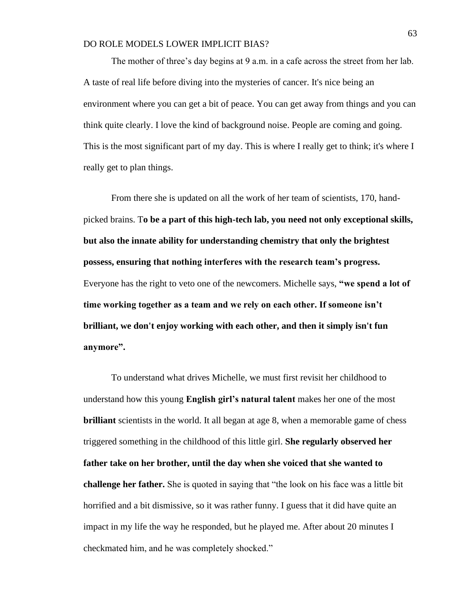The mother of three's day begins at 9 a.m. in a cafe across the street from her lab. A taste of real life before diving into the mysteries of cancer. It's nice being an environment where you can get a bit of peace. You can get away from things and you can think quite clearly. I love the kind of background noise. People are coming and going. This is the most significant part of my day. This is where I really get to think; it's where I really get to plan things.

From there she is updated on all the work of her team of scientists, 170, handpicked brains. T**o be a part of this high-tech lab, you need not only exceptional skills, but also the innate ability for understanding chemistry that only the brightest possess, ensuring that nothing interferes with the research team's progress.** Everyone has the right to veto one of the newcomers. Michelle says, **"we spend a lot of time working together as a team and we rely on each other. If someone isn't brilliant, we don't enjoy working with each other, and then it simply isn't fun anymore".**

To understand what drives Michelle, we must first revisit her childhood to understand how this young **English girl's natural talent** makes her one of the most **brilliant** scientists in the world. It all began at age 8, when a memorable game of chess triggered something in the childhood of this little girl. **She regularly observed her father take on her brother, until the day when she voiced that she wanted to challenge her father.** She is quoted in saying that "the look on his face was a little bit horrified and a bit dismissive, so it was rather funny. I guess that it did have quite an impact in my life the way he responded, but he played me. After about 20 minutes I checkmated him, and he was completely shocked."